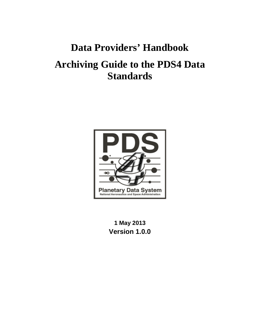# **Data Providers' Handbook**

# **Archiving Guide to the PDS4 Data Standards**



**1 May 2013 Version 1.0.0**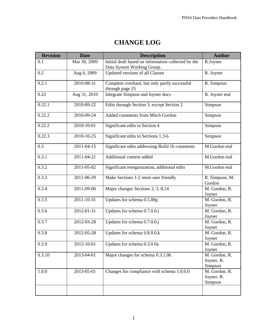| <b>Revision</b> | <b>Date</b>      | <b>Description</b>                                                                | <b>Author</b>                          |
|-----------------|------------------|-----------------------------------------------------------------------------------|----------------------------------------|
| 0.1             | Mar 30, 2009     | Initial draft based on information collected by the<br>Data System Working Group. | R.Joyner                               |
| 0.2             | Aug 6, 2009      | Updated versions of all Classes                                                   | R. Joyner                              |
| 0.2.1           | 2010-08-31       | Complete overhaul, but only partly successful<br>through page 25                  | R. Simpson                             |
| 0.22            | Aug 31, 2010     | Integrate Simpson and Joyner docs                                                 | R. Joyner etal                         |
| 0.22.1          | 2010-09-22       | Edits through Section 3, except Section 2                                         | Simpson                                |
| 0.22.2          | 2010-09-24       | Added comments from Mitch Gordon                                                  | Simpson                                |
| 0.22.2          | 2010-10-01       | Significant edits to Section 4                                                    | Simpson                                |
| 0.22.3          | 2010-10-25       | Significant edits to Sections 1,3-6                                               | Simpson                                |
| 0.3             | 2011-04-15       | Significant edits addressing Build 1b comments                                    | M.Gordon etal                          |
| 0.3.1           | 2011-04-21       | Additional content added                                                          | M.Gordon etal                          |
| 0.3.2           | $2011 - 05 - 02$ | Significant reorganization, additional edits                                      | M.Gordon etal                          |
| 0.3.3           | 2011-06-29       | Make Sections 1-2 more user friendly                                              | R. Simpson, M.<br>Gordon               |
| 0.3.4           | 2011-09-06       | Major changes Sections 2, 3, 8,14                                                 | M. Gordon, R.<br>Joyner                |
| 0.3.5           | 2011-10-31       | Updates for schema 0.5.00g                                                        | M. Gordon, R.<br>Joyner                |
| 0.3.6           | 2012-01-31       | Updates for schema 0.7.0.0.j                                                      | M. Gordon, R.<br>Joyner                |
| 0.3.7           | 2012-03-28       | Updates for schema 0.7.0.0.j                                                      | M. Gordon, R.<br>Joyner                |
| 0.3.8           | 2012-05-28       | Updates for schema 0.8.0.0.k                                                      | M. Gordon, R.<br>Joyner                |
| 0.3.9           | 2012-10-01       | Updates for schema 0.3.0.0a                                                       | M. Gordon, R.<br>Joyner                |
| 0.3.10          | 2013-04-01       | Major changes for schema 0.3.1.0b                                                 | M. Gordon, R.<br>Joyner, R.<br>Simpson |
| 1.0.0           | 2013-05-01       | Changes for compliance with schema 1.0.0.0                                        | M. Gordon, R.<br>Joyner, R.<br>Simpson |
|                 |                  |                                                                                   |                                        |

# **CHANGE LOG**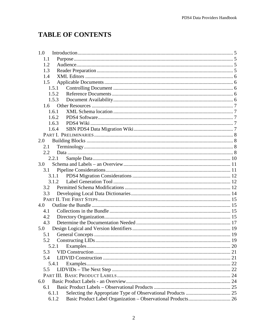# **TABLE OF CONTENTS**

| 1.0   |  |
|-------|--|
| 1.1   |  |
| 1.2   |  |
| 1.3   |  |
| 1.4   |  |
| 1.5   |  |
| 1.5.1 |  |
| 1.5.2 |  |
| 1.5.3 |  |
| 1.6   |  |
| 1.6.1 |  |
| 1.6.2 |  |
| 1.6.3 |  |
| 1.6.4 |  |
|       |  |
| 2.0   |  |
| 2.1   |  |
| 2.2   |  |
| 2.2.1 |  |
| 3.0   |  |
| 3.1   |  |
| 3.1.1 |  |
| 3.1.2 |  |
| 3.2   |  |
| 3.3   |  |
|       |  |
| 4.0   |  |
| 4.1   |  |
| 4.2   |  |
| 4.3   |  |
| 5.0   |  |
| 5.1   |  |
| 5.2   |  |
| 5.2.1 |  |
| 5.3   |  |
| 5.4   |  |
| 5.4.1 |  |
| 5.5   |  |
|       |  |
| 6.0   |  |
| 6.1   |  |
| 6.1.1 |  |
| 6.1.2 |  |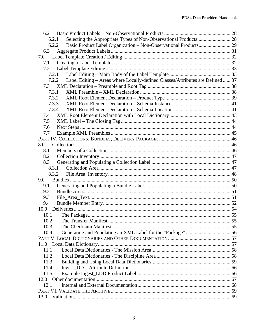| 6.2                                                                                     |      |
|-----------------------------------------------------------------------------------------|------|
| 6.2.1                                                                                   |      |
| 6.2.2                                                                                   |      |
| 6.3                                                                                     |      |
| 7.0                                                                                     |      |
| 7.1                                                                                     |      |
| 7.2                                                                                     |      |
| 7.2.1                                                                                   |      |
| Label Editing - Areas where Locally-defined Classes/Attributes are Defined  37<br>7.2.2 |      |
| 7.3                                                                                     |      |
| 7.3.1                                                                                   |      |
| 7.3.2                                                                                   |      |
| 7.3.3                                                                                   |      |
| 7.3.4                                                                                   |      |
| 7.4                                                                                     |      |
| 7.5                                                                                     |      |
| 7.6                                                                                     |      |
| 7.7                                                                                     |      |
|                                                                                         |      |
| 8.0                                                                                     |      |
| 8.1                                                                                     |      |
| 8.2                                                                                     |      |
| 8.3                                                                                     |      |
| 8.3.1                                                                                   |      |
| 8.3.2                                                                                   |      |
| 9.0                                                                                     |      |
| 9.1                                                                                     |      |
| 9.2                                                                                     |      |
| 9.3                                                                                     |      |
| 9.4                                                                                     |      |
| 10.0                                                                                    |      |
| 10.1                                                                                    |      |
| The Transfer Manifest<br>10.2                                                           | . 55 |
| 10.3                                                                                    |      |
| 10.4                                                                                    |      |
|                                                                                         |      |
|                                                                                         |      |
| 11.1                                                                                    |      |
| 11.2                                                                                    |      |
| 11.3                                                                                    |      |
| 11.4                                                                                    |      |
|                                                                                         |      |
| 11.5                                                                                    |      |
| 12.0                                                                                    |      |
| 12.1                                                                                    |      |
| 13.0                                                                                    |      |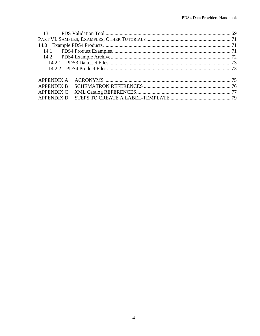| <b>APPENDIX B</b> |  |
|-------------------|--|
| <b>APPENDIX C</b> |  |
| <b>APPENDIX D</b> |  |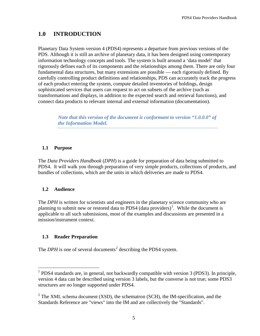# **1.0 INTRODUCTION**

Planetary Data System version 4 (PDS4) represents a departure from previous versions of the PDS. Although it is still an archive of planetary data, it has been designed using contemporary information technology concepts and tools. The system is built around a 'data model' that rigorously defines each of its components and the relationships among them. There are only four fundamental data structures, but many extensions are possible — each rigorously defined. By carefully controlling product definitions and relationships, PDS can accurately track the progress of each product entering the system, compute detailed inventories of holdings, design sophisticated services that users can request to act on subsets of the archive (such as transformations and displays, in addition to the expected search and retrieval functions), and connect data products to relevant internal and external information (documentation).

*Note that this version of the document is conformant to version "1.0.0.0" of the Information Model.*

## **1.1 Purpose**

The *Data Providers Handbook* (*DPH*) is a guide for preparation of data being submitted to PDS4. It will walk you through preparation of very simple products, collections of products, and bundles of collections, which are the units in which deliveries are made to PDS4.

## **1.2 Audience**

The *DPH* is written for scientists and engineers in the planetary science community who are planning to submit new or restored data to PDS4 (data providers)<sup>[1](#page-5-0)</sup>. While the document is applicable to all such submissions, most of the examples and discussions are presented in a mission/instrument context.

## **1.3 Reader Preparation**

The *DPH* is one of several documents<sup>[2](#page-5-1)</sup> describing the PDS4 system.

<span id="page-5-0"></span><sup>&</sup>lt;sup>1</sup> PDS4 standards are, in general, not backwardly compatible with version 3 (PDS3). In principle, version 4 data can be described using version 3 labels, but the converse is not true; some PDS3 structures are no longer supported under PDS4.

<span id="page-5-1"></span> $2^2$  The XML schema document (XSD), the schematron (SCH), the IM-specification, and the Standards Reference are "views" into the IM and are collectively the "Standards".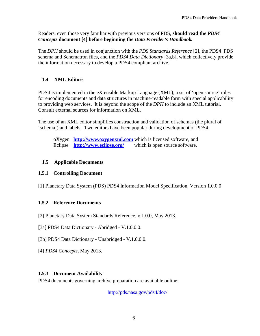Readers, even those very familiar with previous versions of PDS, **should read the** *PDS4 Concepts* **document [4] before beginning the** *Data Provider's Handbook.*

The *DPH* should be used in conjunction with the *PDS Standards Reference* [2], the PDS4\_PDS schema and Schematron files, and the *PDS4 Data Dictionary* [3a,b], which collectively provide the information necessary to develop a PDS4 compliant archive.

## **1.4 XML Editors**

PDS4 is implemented in the eXtensible Markup Language (XML), a set of 'open source' rules for encoding documents and data structures in machine-readable form with special applicability to providing web services. It is beyond the scope of the *DPH* to include an XML tutorial. Consult external sources for information on XML.

The use of an XML editor simplifies construction and validation of schemas (the plural of 'schema') and labels. Two editors have been popular during development of PDS4.

oXygen **[http://www.oxygenxml.com](http://www.oxygenxml.com/)** which is licensed software, and Eclipse **<http://www.eclipse.org/>** which is open source software.

## **1.5 Applicable Documents**

#### **1.5.1 Controlling Document**

[1] Planetary Data System (PDS) PDS4 Information Model Specification, Version 1.0.0.0

## **1.5.2 Reference Documents**

[2] Planetary Data System Standards Reference, v.1.0.0, May 2013.

[3a] PDS4 Data Dictionary - Abridged - V.1.0.0.0.

- [3b] PDS4 Data Dictionary Unabridged V.1.0.0.0.
- [4] *PDS4 Concepts*, May 2013.

#### **1.5.3 Document Availability**

PDS4 documents governing archive preparation are available online:

http://pds.nasa.gov/pds4/doc/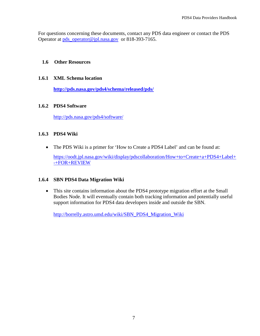For questions concerning these documents, contact any PDS data engineer or contact the PDS Operator at [pds\\_operator@jpl.nasa.gov](mailto:pds_operator@jpl.nasa.gov) or 818-393-7165.

#### **1.6 Other Resources**

#### **1.6.1 XML Schema location**

**<http://pds.nasa.gov/pds4/schema/released/pds/>**

#### **1.6.2 PDS4 Software**

<http://pds.nasa.gov/pds4/software/>

#### **1.6.3 PDS4 Wiki**

• The PDS Wiki is a primer for 'How to Create a PDS4 Label' and can be found at:

[https://oodt.jpl.nasa.gov/wiki/display/pdscollaboration/How+to+Create+a+PDS4+Label+](https://oodt.jpl.nasa.gov/wiki/display/pdscollaboration/How+to+Create+a+PDS4+Label+-+FOR+REVIEW) [-+FOR+REVIEW](https://oodt.jpl.nasa.gov/wiki/display/pdscollaboration/How+to+Create+a+PDS4+Label+-+FOR+REVIEW)

#### **1.6.4 SBN PDS4 Data Migration Wiki**

• This site contains information about the PDS4 prototype migration effort at the Small Bodies Node. It will eventually contain both tracking information and potentially useful support information for PDS4 data developers inside and outside the SBN.

[http://borrelly.astro.umd.edu/wiki/SBN\\_PDS4\\_Migration\\_Wiki](http://borrelly.astro.umd.edu/wiki/SBN_PDS4_Migration_Wiki)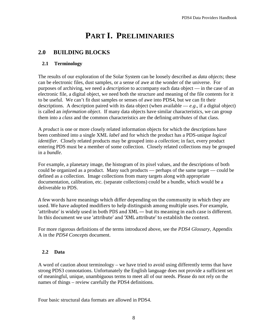# **PART I. PRELIMINARIES**

# **2.0 BUILDING BLOCKS**

#### **2.1 Terminology**

The results of our exploration of the Solar System can be loosely described as *data objects*; these can be electronic files, dust samples, or a sense of awe at the wonder of the universe. For purposes of archiving, we need a *description* to accompany each data object — in the case of an electronic file, a digital object, we need both the structure and meaning of the file contents for it to be useful. We can't fit dust samples or senses of awe into PDS4, but we can fit their descriptions. A description paired with its data object (when available  $-e.g.,$  if a digital object) is called an *information object*. If many data objects have similar characteristics, we can group them into a *class* and the common characteristics are the defining *attributes* of that class.

A *product* is one or more closely related information objects for which the descriptions have been combined into a single XML *label* and for which the product has a PDS-unique *logical identifier*. Closely related products may be grouped into a *collection*; in fact, every product entering PDS must be a member of some collection. Closely related collections may be grouped in a *bundle*.

For example, a planetary image, the histogram of its pixel values, and the descriptions of both could be organized as a product. Many such products — perhaps of the same target — could be defined as a collection. Image collections from many targets along with appropriate documentation, calibration, etc. (separate collections) could be a bundle, which would be a deliverable to PDS.

A few words have meanings which differ depending on the community in which they are used. We have adopted modifiers to help distinguish among multiple uses. For example, 'attribute' is widely used in both PDS and XML — but its meaning in each case is different. In this document we use 'attribute' and 'XML attribute' to establish the context.

For more rigorous definitions of the terms introduced above, see the *PDS4 Glossary,* Appendix A in the *PDS4 Concepts* document.

## **2.2 Data**

A word of caution about terminology – we have tried to avoid using differently terms that have strong PDS3 connotations. Unfortunately the English language does not provide a sufficient set of meaningful, unique, unambiguous terms to meet all of our needs. Please do not rely on the names of things – review carefully the PDS4 definitions.

Four basic structural data formats are allowed in PDS4.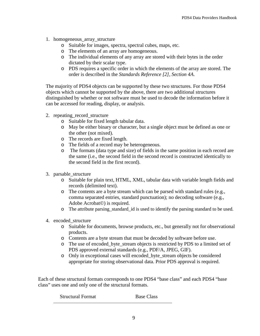- 1. homogeneous\_array\_structure
	- o Suitable for images, spectra, spectral cubes, maps, etc.
	- o The elements of an array are homogeneous.
	- o The individual elements of any array are stored with their bytes in the order dictated by their scalar type.
	- o PDS requires a specific order in which the elements of the array are stored. The order is described in the *Standards Reference [2], Section 4A*.

The majority of PDS4 objects can be supported by these two structures. For those PDS4 objects which cannot be supported by the above, there are two additional structures distinguished by whether or not software must be used to decode the information before it can be accessed for reading, display, or analysis.

- 2. repeating record structure
	- o Suitable for fixed length tabular data.
	- o May be either binary or character, but a single object must be defined as one or the other (not mixed).
	- o The records are fixed length.
	- o The fields of a record may be heterogeneous.
	- o The formats (data type and size) of fields in the same position in each record are the same (i.e., the second field in the second record is constructed identically to the second field in the first record).
- 3. parsable\_structure
	- o Suitable for plain text, HTML, XML, tabular data with variable length fields and records (delimited text).
	- o The contents are a byte stream which can be parsed with standard rules (e.g., comma separated entries, standard punctuation); no decoding software (e.g., Adobe Acrobat©) is required.
	- o The attribute parsing\_standard\_id is used to identify the parsing standard to be used.
- 4. encoded\_structure
	- o Suitable for documents, browse products, etc., but generally not for observational products.
	- o Contents are a byte stream that must be decoded by software before use.
	- o The use of encoded\_byte\_stream objects is restricted by PDS to a limited set of PDS approved external standards (e.g., PDF/A, JPEG, GIF).
	- o Only in exceptional cases will encoded\_byte\_stream objects be considered appropriate for storing observational data. Prior PDS approval is required.

Each of these structural formats corresponds to one PDS4 "base class" and each PDS4 "base class" uses one and only one of the structural formats.

Structural Format Base Class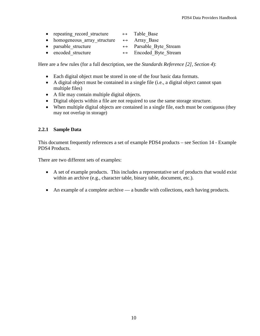| repeating record structure | Table Base |  |
|----------------------------|------------|--|
|                            |            |  |

- homogeneous array structure  $\leftrightarrow$  Array\_Base
- parsable\_structure  $\leftrightarrow$  Parsable\_Byte\_Stream
- encoded structure  $\leftrightarrow$  Encoded Byte Stream

Here are a few rules (for a full description, see the *Standards Reference [2], Section 4*):

- Each digital object must be stored in one of the four basic data formats.
- A digital object must be contained in a single file (i.e., a digital object cannot span multiple files)
- A file may contain multiple digital objects.
- Digital objects within a file are not required to use the same storage structure.
- When multiple digital objects are contained in a single file, each must be contiguous (they may not overlap in storage)

#### **2.2.1 Sample Data**

This document frequently references a set of example PDS4 products – see Section 14 - Example PDS4 Products.

There are two different sets of examples:

- A set of example products. This includes a representative set of products that would exist within an archive (e.g., character table, binary table, document, etc.).
- An example of a complete archive a bundle with collections, each having products.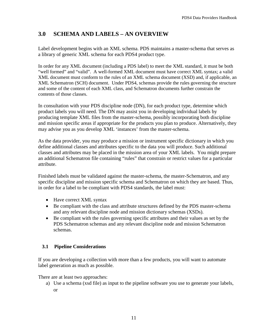# **3.0 SCHEMA AND LABELS – AN OVERVIEW**

Label development begins with an XML schema. PDS maintains a master-schema that serves as a library of generic XML schema for each PDS4 product type.

In order for any XML document (including a PDS label) to meet the XML standard, it must be both "well formed" and "valid". A well-formed XML document must have correct XML syntax; a valid XML document must conform to the rules of an XML schema document (XSD) and, if applicable, an XML Schematron (SCH) document. Under PDS4, schemas provide the rules governing the structure and some of the content of each XML class, and Schematron documents further constrain the contents of those classes.

In consultation with your PDS discipline node (DN), for each product type, determine which product labels you will need. The DN may assist you in developing individual labels by producing template XML files from the master-schema, possibly incorporating both discipline and mission specific areas if appropriate for the products you plan to produce. Alternatively, they may advise you as you develop XML 'instances' from the master-schema.

As the data provider, you may produce a mission or instrument specific dictionary in which you define additional classes and attributes specific to the data you will produce. Such additional classes and attributes may be placed in the mission area of your XML labels. You might prepare an additional Schematron file containing "rules" that constrain or restrict values for a particular attribute.

Finished labels must be validated against the master-schema, the master-Schematron, and any specific discipline and mission specific schema and Schematron on which they are based. Thus, in order for a label to be compliant with PDS4 standards, the label must:

- Have correct XML syntax
- Be compliant with the class and attribute structures defined by the PDS master-schema and any relevant discipline node and mission dictionary schemas (XSDs).
- Be compliant with the rules governing specific attributes and their values as set by the PDS Schematron schemas and any relevant discipline node and mission Schematron schemas.

## **3.1 Pipeline Considerations**

If you are developing a collection with more than a few products, you will want to automate label generation as much as possible.

There are at least two approaches:

a) Use a schema (xsd file) as input to the pipeline software you use to generate your labels, or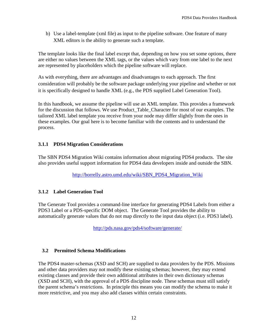b) Use a label-template (xml file) as input to the pipeline software. One feature of many XML editors is the ability to generate such a template.

The template looks like the final label except that, depending on how you set some options, there are either no values between the XML tags, or the values which vary from one label to the next are represented by placeholders which the pipeline software will replace.

As with everything, there are advantages and disadvantages to each approach. The first consideration will probably be the software package underlying your pipeline and whether or not it is specifically designed to handle XML (e.g., the PDS supplied Label Generation Tool).

In this handbook, we assume the pipeline will use an XML template. This provides a framework for the discussion that follows. We use Product\_Table\_Character for most of our examples. The tailored XML label template you receive from your node may differ slightly from the ones in these examples. Our goal here is to become familiar with the contents and to understand the process.

# **3.1.1 PDS4 Migration Considerations**

The SBN PDS4 Migration Wiki contains information about migrating PDS4 products. The site also provides useful support information for PDS4 data developers inside and outside the SBN.

[http://borrelly.astro.umd.edu/wiki/SBN\\_PDS4\\_Migration\\_Wiki](http://borrelly.astro.umd.edu/wiki/SBN_PDS4_Migration_Wiki)

# **3.1.2 Label Generation Tool**

The Generate Tool provides a command-line interface for generating PDS4 Labels from either a PDS3 Label or a PDS-specific DOM object. The Generate Tool provides the ability to automatically generate values that do not map directly to the input data object (i.e. PDS3 label).

<http://pds.nasa.gov/pds4/software/generate/>

# **3.2 Permitted Schema Modifications**

The PDS4 master-schemas (XSD and SCH) are supplied to data providers by the PDS. Missions and other data providers may not modify these existing schemas; however, they may extend existing classes and provide their own additional attributes in their own dictionary schemas (XSD and SCH), with the approval of a PDS discipline node. These schemas must still satisfy the parent schema's restrictions. In principle this means you can modify the schema to make it more restrictive, and you may also add classes within certain constraints.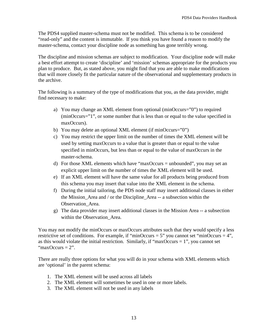The PDS4 supplied master-schema must not be modified. This schema is to be considered "read-only" and the content is immutable. If you think you have found a reason to modify the master-schema, contact your discipline node as something has gone terribly wrong.

The discipline and mission schemas are subject to modification. Your discipline node will make a best effort attempt to create 'discipline' and 'mission' schemas appropriate for the products you plan to produce. But, as stated above, you might find that you are able to make modifications that will more closely fit the particular nature of the observational and supplementary products in the archive.

The following is a summary of the type of modifications that you, as the data provider, might find necessary to make:

- a) You may change an XML element from optional (minOccurs="0") to required (minOccurs="1", or some number that is less than or equal to the value specified in maxOccurs).
- b) You may delete an optional XML element (if minOccurs="0")
- c) You may restrict the upper limit on the number of times the XML element will be used by setting maxOccurs to a value that is greater than or equal to the value specified in minOccurs, but less than or equal to the value of maxOccurs in the master-schema.
- d) For those XML elements which have "maxOccurs = unbounded", you may set an explicit upper limit on the number of times the XML element will be used.
- e) If an XML element will have the same value for all products being produced from this schema you may insert that value into the XML element in the schema.
- f) During the initial tailoring, the PDS node staff may insert additional classes in either the Mission\_Area and / or the Discipline\_Area -- a subsection within the Observation Area.
- g) The data provider may insert additional classes in the Mission Area -- a subsection within the Observation Area.

You may not modify the minOccurs or maxOccurs attributes such that they would specify a less restrictive set of conditions. For example, if "minOccurs = 5" you cannot set "minOccurs = 4", as this would violate the initial restriction. Similarly, if "maxOccurs  $= 1$ ", you cannot set "maxOccurs  $= 2$ ".

There are really three options for what you will do in your schema with XML elements which are 'optional' in the parent schema:

- 1. The XML element will be used across all labels
- 2. The XML element will sometimes be used in one or more labels.
- 3. The XML element will not be used in any labels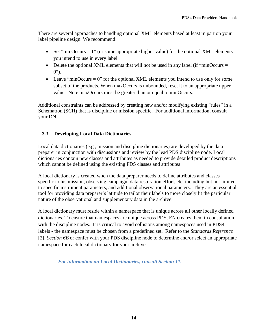There are several approaches to handling optional XML elements based at least in part on your label pipeline design. We recommend:

- Set "minOccurs  $= 1$ " (or some appropriate higher value) for the optional XML elements you intend to use in every label.
- Delete the optional XML elements that will not be used in any label (if "minOccurs  $=$  $0$ ").
- Leave "minOccurs  $= 0$ " for the optional XML elements you intend to use only for some subset of the products. When maxOccurs is unbounded, reset it to an appropriate upper value. Note maxOccurs must be greater than or equal to minOccurs.

Additional constraints can be addressed by creating new and/or modifying existing "rules" in a Schematron (SCH) that is discipline or mission specific. For additional information, consult your DN.

# **3.3 Developing Local Data Dictionaries**

Local data dictionaries (e.g., mission and discipline dictionaries) are developed by the data preparer in conjunction with discussions and review by the lead PDS discipline node. Local dictionaries contain new classes and attributes as needed to provide detailed product descriptions which cannot be defined using the existing PDS classes and attributes

A local dictionary is created when the data preparer needs to define attributes and classes specific to his mission, observing campaign, data restoration effort, etc, including but not limited to specific instrument parameters, and additional observational parameters. They are an essential tool for providing data preparer's latitude to tailor their labels to more closely fit the particular nature of the observational and supplementary data in the archive.

A local dictionary must reside within a namespace that is unique across all other locally defined dictionaries. To ensure that namespaces are unique across PDS, EN creates them in consultation with the discipline nodes. It is critical to avoid collisions among namespaces used in PDS4 labels - the namespace must be chosen from a predefined set. Refer to the *Standards Reference*  [2]*, Section 6B* or confer with your PDS discipline node to determine and/or select an appropriate namespace for each local dictionary for your archive.

*For information on Local Dictionaries, consult Section 11.*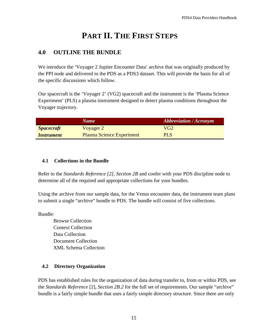# **PART II. THE FIRST STEPS**

# **4.0 OUTLINE THE BUNDLE**

We introduce the 'Voyager 2 Jupiter Encounter Data' archive that was originally produced by the PPI node and delivered to the PDS as a PDS3 dataset. This will provide the basis for all of the specific discussions which follow.

Our spacecraft is the 'Voyager 2' (VG2) spacecraft and the instrument is the 'Plasma Science Experiment' (PLS) a plasma instrument designed to detect plasma conditions throughout the Voyager trajectory.

|                                 | <b>Name</b>                      | <b>Abbreviation / Acronym</b> |
|---------------------------------|----------------------------------|-------------------------------|
| <b>Spacecraft</b>               | Voyager 2                        | VG2                           |
| <i><u><b>Instrument</b></u></i> | <b>Plasma Science Experiment</b> | <b>PLS</b>                    |

## **4.1 Collections in the Bundle**

Refer to the *Standards Reference [2], Section 2B* and confer with your PDS discipline node to determine all of the required and appropriate collections for your bundles.

Using the archive from our sample data, for the Venus encounter data, the instrument team plans to submit a single "archive" bundle to PDS. The bundle will consist of five collections.

Bundle:

Browse Collection Context Collection Data Collection Document Collection XML Schema Collection

## **4.2 Directory Organization**

PDS has established rules for the organization of data during transfer to, from or within PDS, see the *Standards Reference* [2]*, Section 2B.2* for the full set of requirements. Our sample "archive" bundle is a fairly simple bundle that uses a fairly simple directory structure. Since there are only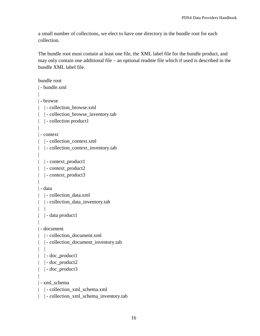a small number of collections, we elect to have one directory in the bundle root for each collection.

The bundle root must contain at least one file, the XML label file for the bundle product, and may only contain one additional file – an optional readme file which if used is described in the bundle XML label file.

```
bundle root
| - bundle.xml
|
| - browse
| | - collection_browse.xml
| | - collection_browse_inventory.tab
| | - collection product1
| 
| - context
| | - collection_context.xml
| | - collection_context_inventory.tab
|
| | - context_product1
| | - context_product2
| | - context_product3
|
| - data
| | - collection_data.xml
| | - collection_data_inventory.tab
| |
| | - data product1
|
| - document
| | - collection_document.xml
| | - collection_document_inventory.tab
| | 
| | - doc_product1
| | - doc_product2
| | - doc_product3
| 
| - xml_schema
| | - collection_xml_schema.xml
| | - collection_xml_schema_inventory.tab
```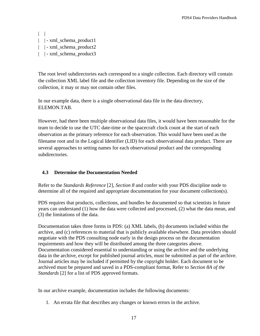```
| | 
| | - xml_schema_product1
| \vert - xml schema product2
| | - xml_schema_product3
```
The root level subdirectories each correspond to a single collection. Each directory will contain the collection XML label file and the collection inventory file. Depending on the size of the collection, it may or may not contain other files.

In our example data, there is a single observational data file in the data directory, ELEMON.TAB.

However, had there been multiple observational data files, it would have been reasonable for the team to decide to use the UTC date-time or the spacecraft clock count at the start of each observation as the primary reference for each observation. This would have been used as the filename root and in the Logical Identifier (LID) for each observational data product. There are several approaches to setting names for each observational product and the corresponding subdirectories.

# **4.3 Determine the Documentation Needed**

Refer to the *Standards Reference* [2]*, Section 8* and confer with your PDS discipline node to determine all of the required and appropriate documentation for your document collection(s).

PDS requires that products, collections, and bundles be documented so that scientists in future years can understand (1) how the data were collected and processed, (2) what the data mean, and (3) the limitations of the data.

Documentation takes three forms in PDS: (a) XML labels, (b) documents included within the archive, and (c) references to material that is publicly available elsewhere. Data providers should negotiate with the PDS consulting node early in the design process on the documentation requirements and how they will be distributed among the three categories above. Documentation considered essential to understanding or using the archive and the underlying data in the archive, except for published journal articles, must be submitted as part of the archive. Journal articles may be included if permitted by the copyright holder. Each document to be archived must be prepared and saved in a PDS-compliant format, Refer to *Section 8A of the Standards* [2] for a list of PDS approved formats.

In our archive example, documentation includes the following documents:

1. An errata file that describes any changes or known errors in the archive.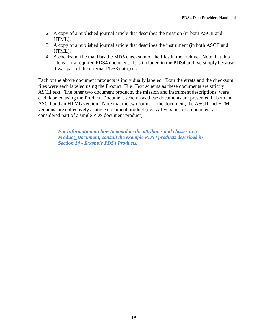- 2. A copy of a published journal article that describes the mission (in both ASCII and HTML).
- 3. A copy of a published journal article that describes the instrument (in both ASCII and HTML).
- 4. A checksum file that lists the MD5 checksum of the files in the archive. Note that this file is not a required PDS4 document. It is included in the PDS4 archive simply because it was part of the original PDS3 data\_set.

Each of the above document products is individually labeled. Both the errata and the checksum files were each labeled using the Product\_File\_Text schema as these documents are strictly ASCII text. The other two document products, the mission and instrument descriptions, were each labeled using the Product\_Document schema as these documents are presented in both an ASCII and an HTML version. Note that the two forms of the document, the ASCII and HTML versions, are collectively a single document product (i.e., All versions of a document are considered part of a single PDS document product).

> *For information on how to populate the attributes and classes in a Product\_Document, consult the example PDS4 products described in Section 14 - Example PDS4 Products.*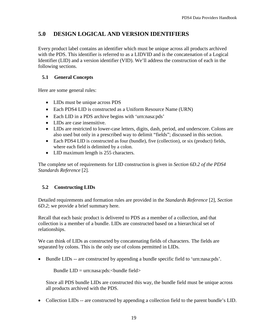# **5.0 DESIGN LOGICAL AND VERSION IDENTIFIERS**

Every product label contains an identifier which must be unique across all products archived with the PDS. This identifier is referred to as a LIDVID and is the concatenation of a Logical Identifier (LID) and a version identifier (VID). We'll address the construction of each in the following sections.

## **5.1 General Concepts**

Here are some general rules:

- LIDs must be unique across PDS
- Each PDS4 LID is constructed as a Uniform Resource Name (URN)
- Each LID in a PDS archive begins with 'urn:nasa:pds'
- LIDs are case insensitive.
- LIDs are restricted to lower-case letters, digits, dash, period, and underscore. Colons are also used but only in a prescribed way to delimit "fields"; discussed in this section.
- Each PDS4 LID is constructed as four (bundle), five (collection), or six (product) fields, where each field is delimited by a colon.
- LID maximum length is 255 characters.

The complete set of requirements for LID construction is given in *Section 6D.2 of the PDS4 Standards Reference* [2]*.*

# **5.2 Constructing LIDs**

Detailed requirements and formation rules are provided in the *Standards Reference* [2]*, Section 6D.2*; we provide a brief summary here.

Recall that each basic product is delivered to PDS as a member of a collection, and that collection is a member of a bundle. LIDs are constructed based on a hierarchical set of relationships.

We can think of LIDs as constructed by concatenating fields of characters. The fields are separated by colons. This is the only use of colons permitted in LIDs.

• Bundle LIDs -- are constructed by appending a bundle specific field to 'urn:nasa:pds'.

Bundle  $LID = urn:nasa:pds: **bundle field**$ 

Since all PDS bundle LIDs are constructed this way, the bundle field must be unique across all products archived with the PDS.

• Collection LIDs -- are constructed by appending a collection field to the parent bundle's LID.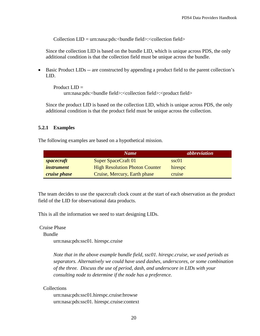Collection  $LID = urn:nasa:pds: **bundle field**  $\geq$$ 

Since the collection LID is based on the bundle LID, which is unique across PDS, the only additional condition is that the collection field must be unique across the bundle.

• Basic Product LIDs -- are constructed by appending a product field to the parent collection's LID.

Product  $LID =$ urn:nasa:pds:<br/>>bundle field>:<collection field>:<product field>

Since the product LID is based on the collection LID, which is unique across PDS, the only additional condition is that the product field must be unique across the collection.

#### **5.2.1 Examples**

The following examples are based on a hypothetical mission.

|                     | <b>Name</b>                           | <i>abbreviation</i> |
|---------------------|---------------------------------------|---------------------|
| spacecraft          | <b>Super SpaceCraft 01</b>            | ssc01               |
| <i>instrument</i>   | <b>High Resolution Photon Counter</b> | hirespc             |
| <i>cruise phase</i> | Cruise, Mercury, Earth phase          | cruise              |

The team decides to use the spacecraft clock count at the start of each observation as the product field of the LID for observational data products.

This is all the information we need to start designing LIDs.

Cruise Phase

Bundle

urn:nasa:pds:ssc01. hirespc.cruise

*Note that in the above example bundle field, ssc01. hirespc.cruise, we used periods as separators. Alternatively we could have used dashes, underscores, or some combination of the three. Discuss the use of period, dash, and underscore in LIDs with your consulting node to determine if the node has a preference.*

#### **Collections**

urn:nasa:pds:ssc01.hirespc.cruise:browse urn:nasa:pds:ssc01. hirespc.cruise:context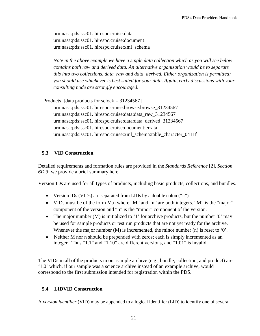urn:nasa:pds:ssc01. hirespc.cruise:data urn:nasa:pds:ssc01. hirespc.cruise:document urn:nasa:pds:ssc01. hirespc.cruise:xml\_schema

*Note in the above example we have a single data collection which as you will see below contains both raw and derived data. An alternative organization would be to separate this into two collections, data\_raw and data\_derived. Either organization is permitted; you should use whichever is best suited for your data. Again, early discussions with your consulting node are strongly encouraged.*

 Products [data products for sclock = 31234567] urn:nasa:pds:ssc01. hirespc.cruise:browse:browse\_31234567 urn:nasa:pds:ssc01. hirespc.cruise:data:data\_raw\_31234567 urn:nasa:pds:ssc01. hirespc.cruise:data:data\_derived\_31234567 urn:nasa:pds:ssc01. hirespc.cruise:document:errata urn:nasa:pds:ssc01. hirespc.cruise:xml\_schema:table\_character\_0411f

#### **5.3 VID Construction**

Detailed requirements and formation rules are provided in the *Standards Reference* [2]*, Section 6D.3*; we provide a brief summary here.

Version IDs are used for all types of products, including basic products, collections, and bundles.

- Version IDs (VIDs) are separated from LIDs by a double colon ("::").
- VIDs must be of the form M.n where "M" and "n" are both integers. "M" is the "major" component of the version and "n" is the "minor" component of the version.
- The major number (M) is initialized to '1' for archive products, but the number '0' may be used for sample products or test run products that are not yet ready for the archive. Whenever the major number  $(M)$  is incremented, the minor number  $(n)$  is reset to '0'.
- Neither M nor n should be prepended with zeros; each is simply incremented as an integer. Thus "1.1" and "1.10" are different versions, and "1.01" is invalid.

The VIDs in all of the products in our sample archive (e.g., bundle, collection, and product) are '1.0' which, if our sample was a science archive instead of an example archive, would correspond to the first submission intended for registration within the PDS.

#### **5.4 LIDVID Construction**

A *version identifier* (VID) may be appended to a logical identifier (LID) to identify one of several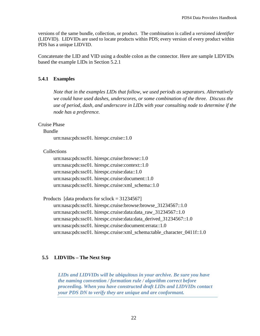versions of the same bundle, collection, or product. The combination is called a *versioned identifier* (LIDVID). LIDVIDs are used to locate products within PDS; every version of every product within PDS has a unique LIDVID.

Concatenate the LID and VID using a double colon as the connector. Here are sample LIDVIDs based the example LIDs in Section 5.2.1

#### **5.4.1 Examples**

*Note that in the examples LIDs that follow, we used periods as separators. Alternatively we could have used dashes, underscores, or some combination of the three. Discuss the use of period, dash, and underscore in LIDs with your consulting node to determine if the node has a preference.*

Cruise Phase

Bundle

urn:nasa:pds:ssc01. hirespc.cruise::1.0

Collections

urn:nasa:pds:ssc01. hirespc.cruise:browse::1.0 urn:nasa:pds:ssc01. hirespc.cruise:context::1.0 urn:nasa:pds:ssc01. hirespc.cruise:data::1.0 urn:nasa:pds:ssc01. hirespc.cruise:document::1.0 urn:nasa:pds:ssc01. hirespc.cruise:xml\_schema::1.0

 Products [data products for sclock = 31234567] urn:nasa:pds:ssc01. hirespc.cruise:browse:browse\_31234567::1.0 urn:nasa:pds:ssc01. hirespc.cruise:data:data\_raw\_31234567::1.0 urn:nasa:pds:ssc01. hirespc.cruise:data:data\_derived\_31234567::1.0 urn:nasa:pds:ssc01. hirespc.cruise:document:errata::1.0 urn:nasa:pds:ssc01. hirespc.cruise:xml\_schema:table\_character\_0411f::1.0

## **5.5 LIDVIDs – The Next Step**

*LIDs and LIDVIDs will be ubiquitous in your archive. Be sure you have the naming convention / formation rule / algorithm correct before proceeding. When you have constructed draft LIDs and LIDVIDs contact your PDS DN to verify they are unique and are conformant.*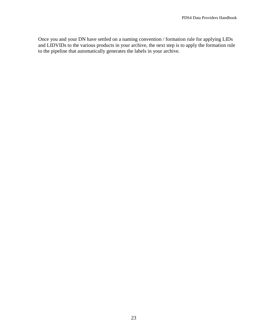Once you and your DN have settled on a naming convention / formation rule for applying LIDs and LIDVIDs to the various products in your archive, the next step is to apply the formation rule to the pipeline that automatically generates the labels in your archive.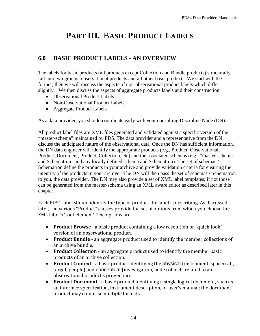# **PART III.** B**ASIC PRODUCT LABELS**

# **6.0 BASIC PRODUCT LABELS - AN OVERVIEW**

The labels for basic products (all products except Collection and Bundle products) structurally fall into two groups: observational products and all other basic products. We start with the former; then we will discuss the aspects of non-observational product labels which differ slightly. We then discuss the aspects of aggregate products labels and their construction:

- Observational Product Labels
- Non-Observational Product Labels
- Aggregate Product Labels

As a data provider, you should coordinate early with your consulting Discipline Node (DN).

All product label files are XML files generated and validated against a specific version of the "master-schema" maintained by PDS. The data provider and a representative from the DN discuss the anticipated nature of the observational data. Once the DN has sufficient information, the DN data engineer will identify the appropriate products (e.g., Product\_Observational, Product\_Document, Product\_Collection, etc) and the associated schemas (e.g., "master-schema and Schematron" and any locally defined schema and Schematron). The set of schemas / Schematron define the products in your archive and provide validation criteria for ensuring the integrity of the products in your archive. The DN will then pass the set of schemas / Schematron to you, the data provider. The DN may also provide a set of XML label templates; if not those can be generated from the master-schema using an XML aware editor as described later in this chapter.

Each PDS4 label should identify the type of product the label is describing. As discussed later, the various "Product" classes provide the set of options from which you choose the XML label's 'root element'. The options are:

- **Product Browse** a basic product containing a low resolution or "quick-look" version of an observational product.
- **Product Bundle** an aggregate product used to identify the member collections of an archive bundle.
- **Product Collection** an aggregate product used to identify the member basic products of an archive collection.
- **Product Context** a basic product identifying the physical (instrument, spacecraft, target, people) and conceptual (investigation, node) objects related to an observational product's provenance.
- **Product Document** a basic product identifying a single logical document, such as an interface specification, instrument description, or user's manual; the document product may comprise multiple formats.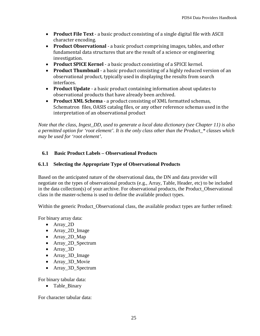- **Product File Text** a basic product consisting of a single digital file with ASCII character encoding.
- **Product Observational** a basic product comprising images, tables, and other fundamental data structures that are the result of a science or engineering investigation.
- **Product SPICE Kernel**  a basic product consisting of a SPICE kernel.
- **Product Thumbnail** a basic product consisting of a highly reduced version of an observational product, typically used in displaying the results from search interfaces.
- **Product Update** a basic product containing information about updates to observational products that have already been archived.
- **Product XML Schema** a product consisting of XML formatted schemas, Schematron files, OASIS catalog files, or any other reference schemas used in the interpretation of an observational product

*Note that the class, Ingest\_DD, used to generate a local data dictionary (see Chapter 11) is also a permitted option for 'root element'. It is the only class other than the Product\_\* classes which may be used for 'root element'.*

# **6.1 Basic Product Labels – Observational Products**

# **6.1.1 Selecting the Appropriate Type of Observational Products**

Based on the anticipated nature of the observational data, the DN and data provider will negotiate on the types of observational products (e.g., Array, Table, Header, etc) to be included in the data collection(s) of your archive. For observational products, the Product\_Observational class in the master-schema is used to define the available product types.

Within the generic Product Observational class, the available product types are further refined:

For binary array data:

- Array\_2D
- Array\_2D\_Image
- Array 2D Map
- Array 2D Spectrum
- Array\_3D
- Array\_3D\_Image
- Array\_3D\_Movie
- Array\_3D\_Spectrum

For binary tabular data:

• Table\_Binary

For character tabular data: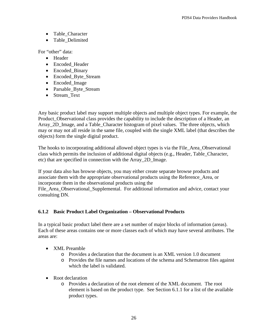- Table\_Character
- Table Delimited

For "other" data:

- Header
- Encoded\_Header
- Encoded\_Binary
- Encoded\_Byte\_Stream
- Encoded\_Image
- Parsable\_Byte\_Stream
- Stream Text

Any basic product label may support multiple objects and multiple object types. For example, the Product\_Observational class provides the capability to include the description of a Header, an Array\_2D\_Image, and a Table\_Character histogram of pixel values. The three objects, which may or may not all reside in the same file, coupled with the single XML label (that describes the objects) form the single digital product.

The hooks to incorporating additional allowed object types is via the File\_Area\_Observational class which permits the inclusion of additional digital objects (e.g., Header, Table\_Character, etc) that are specified in connection with the Array\_2D\_Image.

If your data also has browse objects, you may either create separate browse products and associate them with the appropriate observational products using the Reference\_Area, or incorporate them in the observational products using the

File\_Area\_Observational\_Supplemental. For additional information and advice, contact your consulting DN.

#### **6.1.2 Basic Product Label Organization – Observational Products**

In a typical basic product label there are a set number of major blocks of information (areas). Each of these areas contains one or more classes each of which may have several attributes. The areas are:

- XML Preamble
	- o Provides a declaration that the document is an XML version 1.0 document
	- o Provides the file names and locations of the schema and Schematron files against which the label is validated.
- Root declaration
	- o Provides a declaration of the root element of the XML document. The root element is based on the product type. See Section 6.1.1 for a list of the available product types.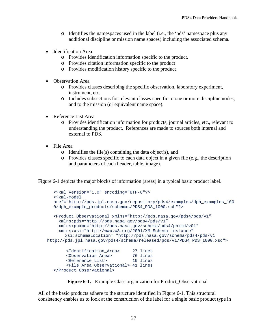- o Identifies the namespaces used in the label (i.e., the 'pds' namespace plus any additional discipline or mission name spaces) including the associated schema.
- Identification Area
	- o Provides identification information specific to the product.
	- o Provides citation information specific to the product
	- o Provides modification history specific to the product
- Observation Area
	- o Provides classes describing the specific observation, laboratory experiment, instrument, etc.
	- o Includes subsections for relevant classes specific to one or more discipline nodes, and to the mission (or equivalent name space).
- Reference List Area
	- o Provides identification information for products, journal articles, etc., relevant to understanding the product. References are made to sources both internal and external to PDS.
- File Area
	- $\circ$  Identifies the file(s) containing the data object(s), and
	- o Provides classes specific to each data object in a given file (e.g., the description and parameters of each header, table, image).

Figure 6-1 depicts the major blocks of information (areas) in a typical basic product label.

```
<?xml version="1.0" encoding="UTF-8"?>
  <?xml-model 
  href="http://pds.jpl.nasa.gov/repository/pds4/examples/dph_examples_100
  0/dph_example_products/schemas/PDS4_PDS_1000.sch"?>
  <Product_Observational xmlns="http://pds.nasa.gov/pds4/pds/v1"
     xmlns:pds="http://pds.nasa.gov/pds4/pds/v1"
     xmlns:phxmd="http://pds.nasa.gov/schema/pds4/phxmd/v01"
     xmlns:xsi="http://www.w3.org/2001/XMLSchema-instance"
       xsi:schemaLocation= "http://pds.nasa.gov/schema/pds4/pds/v1
http://pds.jpl.nasa.gov/pds4/schema/released/pds/v1/PDS4_PDS_1000.xsd"> 
   <Identification_Area> 27 lines
   <Observation_Area> 76 lines
   <Reference_List> 10 lines
        <File_Area_Observational> 41 lines
  </Product_Observational>
```


All of the basic products adhere to the structure identified in Figure 6-1. This structural consistency enables us to look at the construction of the label for a single basic product type in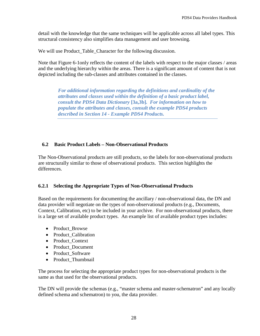detail with the knowledge that the same techniques will be applicable across all label types. This structural consistency also simplifies data management and user browsing.

We will use Product\_Table\_Character for the following discussion.

Note that Figure 6-1only reflects the content of the labels with respect to the major classes / areas and the underlying hierarchy within the areas. There is a significant amount of content that is not depicted including the sub-classes and attributes contained in the classes.

*For additional information regarding the definitions and cardinality of the attributes and classes used within the definition of a basic product label, consult the PDS4 Data Dictionary* **[3a,3b]***. For information on how to populate the attributes and classes, consult the example PDS4 products described in Section 14 - Example PDS4 Products.*

#### **6.2 Basic Product Labels – Non-Observational Products**

The Non-Observational products are still products, so the labels for non-observational products are structurally similar to those of observational products. This section highlights the differences.

#### **6.2.1 Selecting the Appropriate Types of Non-Observational Products**

Based on the requirements for documenting the ancillary / non-observational data, the DN and data provider will negotiate on the types of non-observational products (e.g., Documents, Context, Calibration, etc) to be included in your archive. For non-observational products, there is a large set of available product types. An example list of available product types includes:

- Product Browse
- Product Calibration
- Product Context
- Product Document
- Product Software
- Product\_Thumbnail

The process for selecting the appropriate product types for non-observational products is the same as that used for the observational products.

The DN will provide the schemas (e.g., "master schema and master-schematron" and any locally defined schema and schematron) to you, the data provider.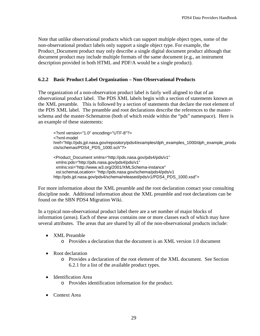Note that unlike observational products which can support multiple object types, some of the non-observational product labels only support a single object type. For example, the Product\_Document product may only describe a single digital document product although that document product may include multiple formats of the same document (e.g., an instrument description provided in both HTML and PDF/A would be a single product).

#### **6.2.2 Basic Product Label Organization – Non-Observational Products**

The organization of a non-observation product label is fairly well aligned to that of an observational product label. The PDS XML labels begin with a section of statements known as the XML preamble. This is followed by a section of statements that declare the root element of the PDS XML label. The preamble and root declarations describe the references to the masterschema and the master-Schematron (both of which reside within the "pds" namespace). Here is an example of these statements:

<?xml version="1.0" encoding="UTF-8"?> <?xml-model href="http://pds.jpl.nasa.gov/repository/pds4/examples/dph\_examples\_1000/dph\_example\_produ cts/schemas/PDS4\_PDS\_1000.sch"?>

<Product\_Document xmlns="http://pds.nasa.gov/pds4/pds/v1" xmlns:pds="http://pds.nasa.gov/pds4/pds/v1" xmlns:xsi="http://www.w3.org/2001/XMLSchema-instance" xsi:schemaLocation= "http://pds.nasa.gov/schema/pds4/pds/v1 http://pds.jpl.nasa.gov/pds4/schema/released/pds/v1/PDS4\_PDS\_1000.xsd">

For more information about the XML preamble and the root declaration contact your consulting discipline node. Additional information about the XML preamble and root declarations can be found on the SBN PDS4 Migration Wiki.

In a typical non-observational product label there are a set number of major blocks of information (areas). Each of these areas contains one or more classes each of which may have several attributes. The areas that are shared by all of the non-observational products include:

- XML Preamble
	- o Provides a declaration that the document is an XML version 1.0 document
- Root declaration
	- o Provides a declaration of the root element of the XML document. See Section 6.2.1 for a list of the available product types.
- Identification Area
	- o Provides identification information for the product.
- Context Area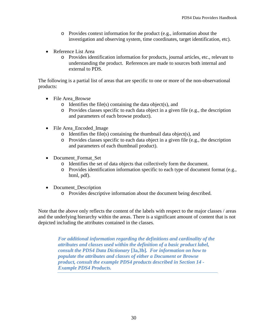- o Provides context information for the product (e.g., information about the investigation and observing system, time coordinates, target identification, etc).
- Reference List Area
	- o Provides identification information for products, journal articles, etc., relevant to understanding the product. References are made to sources both internal and external to PDS.

The following is a partial list of areas that are specific to one or more of the non-observational products:

- File Area Browse
	- $\circ$  Identifies the file(s) containing the data object(s), and
	- o Provides classes specific to each data object in a given file (e.g., the description and parameters of each browse product).
- File Area\_Encoded\_Image
	- o Identifies the file(s) containing the thumbnail data object(s), and
	- o Provides classes specific to each data object in a given file (e.g., the description and parameters of each thumbnail product).
- Document Format Set
	- o Identifies the set of data objects that collectively form the document.
	- o Provides identification information specific to each type of document format (e.g., html, pdf).
- Document\_Description
	- o Provides descriptive information about the document being described.

Note that the above only reflects the content of the labels with respect to the major classes / areas and the underlying hierarchy within the areas. There is a significant amount of content that is not depicted including the attributes contained in the classes.

*For additional information regarding the definitions and cardinality of the attributes and classes used within the definition of a basic product label, consult the PDS4 Data Dictionary* **[3a,3b]***. For information on how to populate the attributes and classes of either a Document or Browse product, consult the example PDS4 products described in Section 14 - Example PDS4 Products.*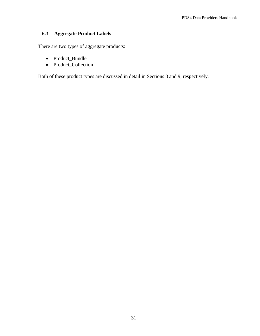## **6.3 Aggregate Product Labels**

There are two types of aggregate products:

- Product\_Bundle
- Product\_Collection

Both of these product types are discussed in detail in Sections 8 and 9, respectively.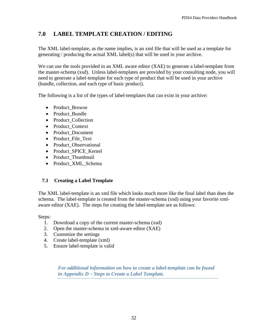# **7.0 LABEL TEMPLATE CREATION / EDITING**

The XML label-template, as the name implies, is an xml file that will be used as a template for generating / producing the actual XML label(s) that will be used in your archive.

We can use the tools provided in an XML aware editor (XAE) to generate a label-template from the master-schema (xsd). Unless label-templates are provided by your consulting node, you will need to generate a label-template for each type of product that will be used in your archive (bundle, collection, and each type of basic product).

The following is a list of the types of label-templates that can exist in your archive:

- Product Browse
- Product Bundle
- Product\_Collection
- Product Context
- Product Document
- Product File Text
- Product Observational
- Product SPICE Kernel
- Product Thumbnail
- Product XML Schema

# **7.1 Creating a Label Template**

The XML label-template is an xml file which looks much more like the final label than does the schema. The label-template is created from the master-schema (xsd) using your favorite xmlaware editor (XAE). The steps for creating the label-template are as follows:

Steps:

- 1. Download a copy of the current master-schema (xsd)
- 2. Open the master-schema in xml-aware editor (XAE)
- 3. Customize the settings
- 4. Create label-template (xml)
- 5. Ensure label-template is valid

*For additional information on how to create a label-template can be found in Appendix D – Steps to Create a Label Template.*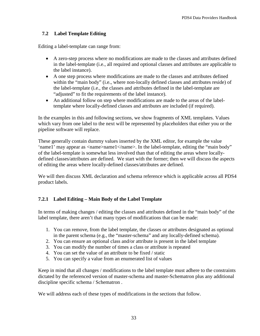## **7.2 Label Template Editing**

Editing a label-template can range from:

- A zero-step process where no modifications are made to the classes and attributes defined in the label-template (i.e., all required and optional classes and attributes are applicable to the label instance).
- A one step process where modifications are made to the classes and attributes defined within the "main body" (i.e., where non-locally defined classes and attributes reside) of the label-template (i.e., the classes and attributes defined in the label-template are "adjusted" to fit the requirements of the label instance).
- An additional follow on step where modifications are made to the areas of the labeltemplate where locally-defined classes and attributes are included (if required).

In the examples in this and following sections, we show fragments of XML templates. Values which vary from one label to the next will be represented by placeholders that either you or the pipeline software will replace.

These generally contain dummy values inserted by the XML editor, for example the value 'name1' may appear as <name>name1</name>. In the label-template, editing the "main body" of the label-template is somewhat less involved than that of editing the areas where locallydefined classes/attributes are defined. We start with the former; then we will discuss the aspects of editing the areas where locally-defined classes/attributes are defined.

We will then discuss XML declaration and schema reference which is applicable across all PDS4 product labels.

## **7.2.1 Label Editing – Main Body of the Label Template**

In terms of making changes / editing the classes and attributes defined in the "main body" of the label template, there aren't that many types of modifications that can be made:

- 1. You can remove, from the label template, the classes or attributes designated as optional in the parent schema (e.g., the "master-schema" and any locally-defined schema).
- 2. You can ensure an optional class and/or attribute is present in the label template
- 3. You can modify the number of times a class or attribute is repeated
- 4. You can set the value of an attribute to be fixed / static
- 5. You can specify a value from an enumerated list of values

Keep in mind that all changes / modifications to the label template must adhere to the constraints dictated by the referenced version of master-schema and master-Schematron plus any additional discipline specific schema / Schematron .

We will address each of these types of modifications in the sections that follow.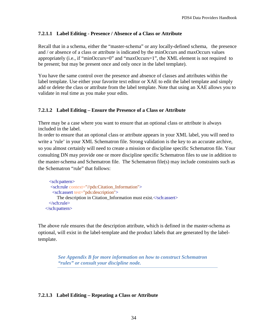#### **7.2.1.1 Label Editing - Presence / Absence of a Class or Attribute**

Recall that in a schema, either the "master-schema" or any locally-defined schema, the presence and / or absence of a class or attribute is indicated by the minOccurs and maxOccurs values appropriately (i.e., if "minOccurs=0" and "maxOccurs=1", the XML element is not required to be present; but may be present once and only once in the label template).

You have the same control over the presence and absence of classes and attributes within the label template. Use either your favorite text editor or XAE to edit the label template and simply add or delete the class or attribute from the label template. Note that using an XAE allows you to validate in real time as you make your edits.

#### **7.2.1.2 Label Editing – Ensure the Presence of a Class or Attribute**

There may be a case where you want to ensure that an optional class or attribute is always included in the label.

In order to ensure that an optional class or attribute appears in your XML label, you will need to write a 'rule' in your XML Schematron file. Strong validation is the key to an accurate archive, so you almost certainly will need to create a mission or discipline specific Schematron file. Your consulting DN may provide one or more discipline specific Schematron files to use in addition to the master-schema and Schematron file. The Schematron file(s) may include constraints such as the Schematron "rule" that follows:

```
 <sch:pattern>
    <sch:rule context="//pds:Citation_Information">
    <sch:assert test="pds:description">
      The description in Citation Information must exist.\langlesch:assert\rangle </sch:rule>
 </sch:pattern>
```
The above rule ensures that the description attribute, which is defined in the master-schema as optional, will exist in the label-template and the product labels that are generated by the labeltemplate.

> *See Appendix B for more information on how to construct Schematron "rules" or consult your discipline node.*

#### **7.2.1.3 Label Editing – Repeating a Class or Attribute**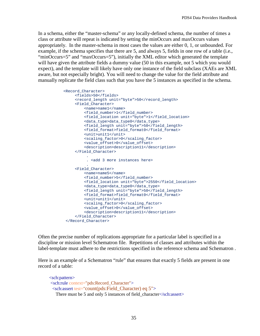In a schema, either the "master-schema" or any locally-defined schema, the number of times a class or attribute will repeat is indicated by setting the minOccurs and maxOccurs values appropriately. In the master-schema in most cases the values are either 0, 1, or unbounded. For example, if the schema specifies that there are 5, and always 5, fields in one row of a table (i.e., "minOccurs=5" and "maxOccurs=5"), initially the XML editor which generated the template will have given the attribute fields a dummy value (50 in this example, not 5 which you would expect), and the template will likely have only one instance of the field subclass (XAEs are XML aware, but not especially bright). You will need to change the value for the field attribute and manually replicate the field class such that you have the 5 instances as specified in the schema.

```
 <Record_Character>
                <fields>50</fields>
                <record_length unit="byte">50</record_length>
                <Field_Character>
                    <name>name1</name>
                   <field_number>1</field_number>
                   <field_location unit="byte">1</field_location>
                    <data_type>data_type0</data_type>
                   <field_length unit="byte">50</field_length>
                   <field_format>field_format0</field_format>
                   <unit>unit1</unit>
                   <scaling_factor>0</scaling_factor>
                   <value_offset>0</value_offset>
                   <description>description11</description>
                </Field_Character>
 .
                     . <add 3 more instances here>
 .
                <Field_Character>
                    <name>name5</name>
                   <field_number>5</field_number>
                   <field_location unit="byte">2550</field_location>
                   <data_type>data_type0</data_type>
                   <field_length unit="byte">50</field_length>
                   <field_format>field_format0</field_format>
                   <unit>unit1</unit>
                   <scaling_factor>0</scaling_factor>
                   <value_offset>0</value_offset>
                   <description>description11</description>
                </Field_Character>
            </Record_Character>
```
Often the precise number of replications appropriate for a particular label is specified in a discipline or mission level Schematron file. Repetitions of classes and attributes within the label-template must adhere to the restrictions specified in the reference schema and Schematron .

Here is an example of a Schematron "rule" that ensures that exactly 5 fields are present in one record of a table:

```
 <sch:pattern>
 <sch:rule context="pds:Record_Character">
  <sch:assert test="count(pds:Field_Character) eq 5">
   There must be 5 and only 5 instances of field_character</sch:assert>
```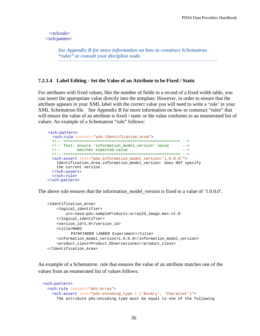</sch:rule> </sch:pattern>

> *See Appendix B for more information on how to construct Schematron "rules" or consult your discipline node.*

#### **7.2.1.4 Label Editing - Set the Value of an Attribute to be Fixed / Static**

For attributes with fixed values, like the number of fields in a record of a fixed width table, you can insert the appropriate value directly into the template. However, in order to ensure that the attribute appears in your XML label with the correct value you will need to write a 'rule' in your XML Schematron file. See Appendix B for more information on how to construct "rules" that will ensure the value of an attribute is fixed / static or the value conforms to an enumerated list of values. An example of a Schematron "rule" follows:

```
 <sch:pattern> 
   <sch:rule context="pds:Identification_Area">
   <!-- =================================================== -->
  <!-- Test: ensure 'information_model_version' value -->
            matches expected-value
  <!-- =================================================== -->
  <sch:assert test="pds:information_model_version='1.0.0.0'">
    Identification_Area.information_model_version: does NOT specify 
    the current version.
  </sch:assert>
  </sch:rule>
 </sch:pattern>
```
The above rule ensures that the information model version is fixed to a value of '1.0.0.0'.

```
 <Identification_Area>
     <logical_identifier>
         urn:nasa:pds:sampleProducts:array2d_image.mex-v1.0
     </logical_identifier>
     <version_id>1.0</version_id>
     <title>MARS
          PATHFINDER LANDER Experiment</title>
     <information_model_version>1.0.0.0</information_model_version>
     <product_class>Product_Observational</product_class>
 </Identification_Area>
```
An example of a Schematron rule that ensures the value of an attribute matches one of the values from an enumerated list of values follows:

```
 <sch:pattern>
   <sch:rule context="pds:Array">
     <sch:assert test="pds:encoding_type = ('Binary', 'Character')">
       The attribute pds:encoding_type must be equal to one of the following
```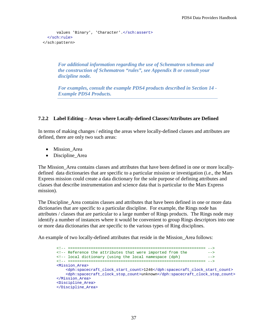```
values 'Binary', 'Character'.</sch:assert>
   </sch:rule>
 </sch:pattern>
```
*For additional information regarding the use of Schematron schemas and the construction of Schematron "rules", see Appendix B or consult your discipline node.*

*For examples, consult the example PDS4 products described in Section 14 - Example PDS4 Products.*

#### **7.2.2 Label Editing – Areas where Locally-defined Classes/Attributes are Defined**

In terms of making changes / editing the areas where locally-defined classes and attributes are defined, there are only two such areas:

- Mission\_Area
- Discipline Area

The Mission\_Area contains classes and attributes that have been defined in one or more locallydefined data dictionaries that are specific to a particular mission or investigation (i.e., the Mars Express mission could create a data dictionary for the sole purpose of defining attributes and classes that describe instrumentation and science data that is particular to the Mars Express mission).

The Discipline Area contains classes and attributes that have been defined in one or more data dictionaries that are specific to a particular discipline. For example, the Rings node has attributes / classes that are particular to a large number of Rings products. The Rings node may identify a number of instances where it would be convenient to group Rings descriptors into one or more data dictionaries that are specific to the various types of Ring disciplines.

An example of two locally-defined attributes that reside in the Mission\_Area follows:

```
 <!-- ============================================================ -->
<!-- Reference the attributes that were imported from the --><br><!-- local dictionary (using the local namespace (dph) -->
<!-- local dictionary (using the local namespace (dph)
 <!-- ============================================================ --> 
 <Mission_Area>
     <dph:spacecraft_clock_start_count>1246</dph:spacecraft_clock_start_count>
     <dph:spacecraft_clock_stop_count>unknown</dph:spacecraft_clock_stop_count>
 </Mission_Area>
 <Discipline_Area>
 </Discipline_Area>
```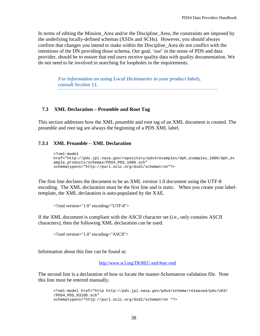In terms of editing the Mission Area and/or the Discipline Area, the constraints are imposed by the underlying locally-defined schemas (XSDs and SCHs). However, you should always confirm that changes you intend to make within the Discipline\_Area do not conflict with the intentions of the DN providing those schema. Our goal, 'our' in the sense of PDS and data provider, should be to ensure that end users receive quality data with quality documentation. We do not need to be involved in searching for loopholes in the requirements.

*For information on using Local Dictionaries in your product labels, consult Section 11.*

#### **7.3 XML Declaration – Preamble and Root Tag**

This section addresses how the XML preamble and root tag of an XML document is created. The preamble and root tag are always the beginning of a PDS XML label.

#### **7.3.1 XML Preamble – XML Declaration**

```
<?xml-model 
href="http://pds.jpl.nasa.gov/repository/pds4/examples/dph_examples_1000/dph_ex
ample_products/schemas/PDS4_PDS_1000.sch"
schematypens="http://purl.oclc.org/dsdl/schematron"?>
```
The first line declares the document to be an XML version 1.0 document using the UTF-8 encoding. The XML declaration must be the first line and is static. When you create your labeltemplate, the XML declaration is auto-populated by the XAE.

<?xml version="1.0" encoding="UTF-8">

If the XML document is compliant with the ASCII character set (i.e., only contains ASCII characters), then the following XML declaration can be used:

<?xml version="1.0" encoding="ASCII">

Information about this line can be found at:

<http://www.w3.org/TR/REC-xml/#sec-rmd>

The second line is a declaration of how to locate the master-Schematron validation file. Note this line must be entered manually.

```
<?xml-model href="http http://pds.jpl.nasa.gov/pds4/schema/released/pds/v03/
/PDS4_PDS_0310b.sch"
schematypens="http://purl.oclc.org/dsdl/schematron "?>
```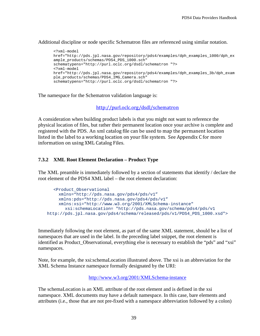Additional discipline or node specific Schematron files are referenced using similar notation.

```
<?xml-model 
href="http://pds.jpl.nasa.gov/repository/pds4/examples/dph_examples_1000/dph_ex
ample_products/schemas/PDS4_PDS_1000.sch"
schematypens="http://purl.oclc.org/dsdl/schematron "?>
<?xml-model 
href="http://pds.jpl.nasa.gov/repository/pds4/examples/dph_examples_3b/dph_exam
ple_products/schemas/PDS4_IMG_Camera.sch"
schematypens="http://purl.oclc.org/dsdl/schematron "?>
```
The namespace for the Schematron validation language is:

<http://purl.oclc.org/dsdl/schematron>

A consideration when building product labels is that you might not want to reference the physical location of files, but rather their permanent location once your archive is complete and registered with the PDS. An xml catalog file can be used to map the permanent location listed in the label to a working location on your file system. See Appendix C for more information on using XML Catalog Files.

### **7.3.2 XML Root Element Declaration – Product Type**

The XML preamble is immediately followed by a section of statements that identify / declare the root element of the PDS4 XML label – the root element declaration:

```
<Product_Observational 
     xmlns="http://pds.nasa.gov/pds4/pds/v1"
     xmlns:pds="http://pds.nasa.gov/pds4/pds/v1"
     xmlns:xsi="http://www.w3.org/2001/XMLSchema-instance"
        xsi:schemaLocation= "http://pds.nasa.gov/schema/pds4/pds/v1
http://pds.jpl.nasa.gov/pds4/schema/released/pds/v1/PDS4_PDS_1000.xsd">
```
Immediately following the root element, as part of the same XML statement, should be a list of namespaces that are used in the label. In the preceding label snippet, the root element is identified as Product\_Observational, everything else is necessary to establish the "pds" and "xsi" namespaces.

Note, for example, the xsi:schemaLocation illustrated above. The xsi is an abbreviation for the XML Schema Instance namespace formally designated by the URI:

<http://www.w3.org/2001/XMLSchema-instance>

The schemaLocation is an XML attribute of the root element and is defined in the xsi namespace. XML documents may have a default namespace. In this case, bare elements and attributes (i.e., those that are not pre-fixed with a namespace abbreviation followed by a colon)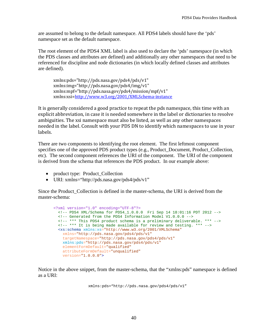are assumed to belong to the default namespace. All PDS4 labels should have the 'pds' namespace set as the default namespace.

The root element of the PDS4 XML label is also used to declare the 'pds' namespace (in which the PDS classes and attributes are defined) and additionally any other namespaces that need to be referenced for discipline and node dictionaries (in which locally defined classes and attributes are defined).

xmlns:pds="http://pds.nasa.gov/pds4/pds/v1" xmlns:img="http://pds.nasa.gov/pds4/img/v1" xmlns:mpf="http://pds.nasa.gov/pds4/mission/mpf/v1" xmlns:xsi[=http://www.w3.org/2001/XMLSchema-instance](http://www.w3.org/2001/XMLSchema-instance)

It is generally considered a good practice to repeat the pds namespace, this time with an explicit abbreviation, in case it is needed somewhere in the label or dictionaries to resolve ambiguities. The xsi namespace must also be listed, as well as any other namespaces needed in the label. Consult with your PDS DN to identify which namespaces to use in your labels.

There are two components to identifying the root element. The first leftmost component specifies one of the approved PDS product types (e.g., Product\_Document, Product\_Collection, etc). The second component references the URI of the component. The URI of the component is derived from the schema that references the PDS product. In our example above:

- product type: Product\_Collection
- URI: xmlns="http://pds.nasa.gov/pds4/pds/v1"

Since the Product\_Collection is defined in the master-schema, the URI is derived from the master-schema:

```
<?xml version="1.0" encoding="UTF-8"?>
  <!-- PDS4 XML/Schema for PDS4_1.0.0.0 Fri Sep 14 18:01:16 PDT 2012 -->
  <!-- Generated from the PDS4 Information Model V1.0.0.0 -->
  <!-- *** This PDS4 product schema is a preliminary deliverable. *** -->
  <!-- *** It is being made available for review and testing. *** -->
  <xs:schema xmlns:xs="http://www.w3.org/2001/XMLSchema"
    xmlns="http://pds.nasa.gov/pds4/pds/v1"
    targetNamespace="http://pds.nasa.gov/pds4/pds/v1"
    xmlns:pds="http://pds.nasa.gov/pds4/pds/v1"
    elementFormDefault="qualified"
    attributeFormDefault="unqualified"
    version="1.0.0.0">
```
Notice in the above snippet, from the master-schema, that the "xmlns:pds" namespace is defined as a URI:

```
xmlns:pds="http://pds.nasa.gov/pds4/pds/v1"
```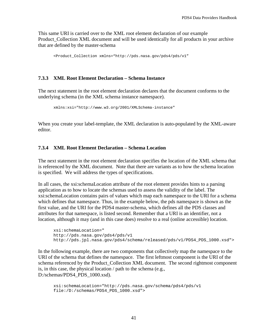This same URI is carried over to the XML root element declaration of our example Product\_Collection XML document and will be used identically for all products in your archive that are defined by the master-schema

```
<Product_Collection xmlns="http://pds.nasa.gov/pds4/pds/v1"
```
### **7.3.3 XML Root Element Declaration – Schema Instance**

The next statement in the root element declaration declares that the document conforms to the underlying schema (in the XML schema instance namespace).

```
xmlns:xsi="http://www.w3.org/2001/XMLSchema-instance"
```
When you create your label-template, the XML declaration is auto-populated by the XML-aware editor.

# **7.3.4 XML Root Element Declaration – Schema Location**

The next statement in the root element declaration specifies the location of the XML schema that is referenced by the XML document. Note that there are variants as to how the schema location is specified. We will address the types of specifications.

In all cases, the xsi:schemaLocation attribute of the root element provides hints to a parsing application as to how to locate the schemas used to assess the validity of the label. The xsi:schemaLocation contains pairs of values which map each namespace to the URI for a schema which defines that namespace. Thus, in the example below, the pds namespace is shown as the first value, and the URI for the PDS4 master-schema, which defines all the PDS classes and attributes for that namespace, is listed second. Remember that a URI is an identifier, not a location, although it may (and in this case does) resolve to a real (online accessible) location.

```
xsi:schemaLocation="
http://pds.nasa.gov/pds4/pds/v1
http://pds.jpl.nasa.gov/pds4/schema/released/pds/v1/PDS4_PDS_1000.xsd">
```
In the following example, there are two components that collectively map the namespace to the URI of the schema that defines the namespace. The first leftmost component is the URI of the schema referenced by the Product\_Collection XML document. The second rightmost component is, in this case, the physical location / path to the schema (e.g., D:/schemas/PDS4\_PDS\_1000.xsd).

```
xsi:schemaLocation="http://pds.nasa.gov/schema/pds4/pds/v1
file:/D:/schemas/PDS4_PDS_1000.xsd">
```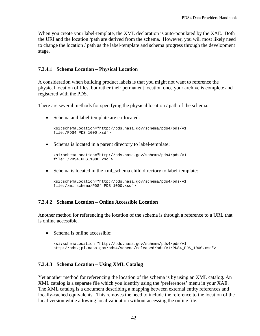When you create your label-template, the XML declaration is auto-populated by the XAE. Both the URI and the location /path are derived from the schema. However, you will most likely need to change the location / path as the label-template and schema progress through the development stage.

### **7.3.4.1 Schema Location – Physical Location**

A consideration when building product labels is that you might not want to reference the physical location of files, but rather their permanent location once your archive is complete and registered with the PDS.

There are several methods for specifying the physical location / path of the schema.

• Schema and label-template are co-located:

```
xsi:schemaLocation="http://pds.nasa.gov/schema/pds4/pds/v1
file:/PDS4_PDS_1000.xsd">
```
• Schema is located in a parent directory to label-template:

```
xsi:schemaLocation="http://pds.nasa.gov/schema/pds4/pds/v1
file:./PDS4_PDS_1000.xsd">
```
• Schema is located in the xml schema child directory to label-template:

```
xsi:schemaLocation="http://pds.nasa.gov/schema/pds4/pds/v1
file:/xml_schema/PDS4_PDS_1000.xsd">
```
# **7.3.4.2 Schema Location – Online Accessible Location**

Another method for referencing the location of the schema is through a reference to a URL that is online accessible.

• Schema is online accessible:

```
xsi:schemaLocation="http://pds.nasa.gov/schema/pds4/pds/v1
http://pds.jpl.nasa.gov/pds4/schema/released/pds/v1/PDS4_PDS_1000.xsd">
```
#### **7.3.4.3 Schema Location – Using XML Catalog**

Yet another method for referencing the location of the schema is by using an XML catalog. An XML catalog is a separate file which you identify using the 'preferences' menu in your XAE. The XML catalog is a document describing a mapping between external entity references and locally-cached equivalents. This removes the need to include the reference to the location of the local version while allowing local validation without accessing the online file.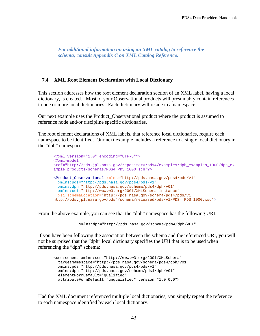*For additional information on using an XML catalog to reference the schema, consult Appendix C on XML Catalog Reference.*

#### **7.4 XML Root Element Declaration with Local Dictionary**

This section addresses how the root element declaration section of an XML label, having a local dictionary, is created. Most of your Observational products will presumably contain references to one or more local dictionaries. Each dictionary will reside in a namespace.

Our next example uses the Product\_Observational product where the product is assumed to reference node and/or discipline specific dictionaries.

The root element declarations of XML labels, that reference local dictionaries, require each namespace to be identified. Our next example includes a reference to a single local dictionary in the "dph" namespace.

```
<?xml version="1.0" encoding="UTF-8"?>
<?xml-model 
href="http://pds.jpl.nasa.gov/repository/pds4/examples/dph_examples_1000/dph_ex
ample_products/schemas/PDS4_PDS_1000.sch"?>
<Product_Observational xmlns="http://pds.nasa.gov/pds4/pds/v1"
   xmlns:pds="http://pds.nasa.gov/pds4/pds/v1"
   xmlns:dph="http://pds.nasa.gov/schema/pds4/dph/v01"
  xmlns:xsi="http://www.w3.org/2001/XMLSchema-instance"
   xsi:schemaLocation="http://pds.nasa.gov/schema/pds4/pds/v1
http://pds.jpl.nasa.gov/pds4/schema/released/pds/v1/PDS4_PDS_1000.xsd">
```
From the above example, you can see that the "dph" namespace has the following URI:

```
xmlns:dph="http://pds.nasa.gov/schema/pds4/dph/v01"
```
If you have been following the association between the schema and the referenced URI, you will not be surprised that the "dph" local dictionary specifies the URI that is to be used when referencing the "dph" schema:

```
<xsd:schema xmlns:xsd="http://www.w3.org/2001/XMLSchema"
   targetNamespace="http://pds.nasa.gov/schema/pds4/dph/v01"
  xmlns:pds="http://pds.nasa.gov/pds4/pds/v1"
  xmlns:dph="http://pds.nasa.gov/schema/pds4/dph/v01" 
  elementFormDefault="qualified"
  attributeFormDefault="unqualified" version="1.0.0.0">
```
Had the XML document referenced multiple local dictionaries, you simply repeat the reference to each namespace identified by each local dictionary.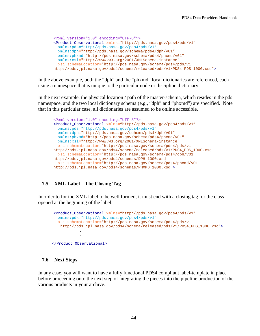```
<?xml version="1.0" encoding="UTF-8"?>
<Product_Observational xmlns="http://pds.nasa.gov/pds4/pds/v1"
   xmlns:pds="http://pds.nasa.gov/pds4/pds/v1"
   xmlns:dph="http://pds.nasa.gov/schema/pds4/dph/v01"
   xmlns:phxmd="http://pds.nasa.gov/schema/pds4/phxmd/v01"
  xmlns:xsi="http://www.w3.org/2001/XMLSchema-instance"
   xsi:schemaLocation="http://pds.nasa.gov/schema/pds4/pds/v1
http://pds.jpl.nasa.gov/pds4/schema/released/pds/v1/PDS4_PDS_1000.xsd">
```
In the above example, both the "dph" and the "phxmd" local dictionaries are referenced, each using a namespace that is unique to the particular node or discipline dictionary.

In the next example, the physical location / path of the master-schema, which resides in the pds namespace, and the two local dictionary schema (e.g., "dph" and "phxmd") are specified. Note that in this particular case, all dictionaries are assumed to be online accessible.

```
<?xml version="1.0" encoding="UTF-8"?>
<Product_Observational xmlns="http://pds.nasa.gov/pds4/pds/v1"
   xmlns:pds="http://pds.nasa.gov/pds4/pds/v1"
   xmlns:dph="http://pds.nasa.gov/schema/pds4/dph/v01"
   xmlns:phxmd="http://pds.nasa.gov/schema/pds4/phxmd/v01"
   xmlns:xsi="http://www.w3.org/2001/XMLSchema-instance"
   xsi:schemaLocation="http://pds.nasa.gov/schema/pds4/pds/v1
http://pds.jpl.nasa.gov/pds4/schema/released/pds/v1/PDS4_PDS_1000.xsd
   xsi:schemaLocation="http://pds.nasa.gov/schema/pds4/dph/v01
http://pds.jpl.nasa.gov/pds4/schemas/DPH_1000.xsd
   xsi:schemaLocation="http://pds.nasa.gov/schema/pds4/phxmd/v01
http://pds.jpl.nasa.gov/pds4/schemas/PHXMD_1000.xsd">
```
# **7.5 XML Label – The Closing Tag**

In order to for the XML label to be well formed, it must end with a closing tag for the class opened at the beginning of the label.

```
<Product_Observational xmlns="http://pds.nasa.gov/pds4/pds/v1"
        xmlns:pds="http://pds.nasa.gov/pds4/pds/v1"
         xsi:schemaLocation="http://pds.nasa.gov/schema/pds4/pds/v1
         http://pds.jpl.nasa.gov/pds4/schema/released/pds/v1/PDS4_PDS_1000.xsd">
 .
                 .
                 .
 </Product_Observational>
```
# **7.6 Next Steps**

In any case, you will want to have a fully functional PDS4 compliant label-template in place before proceeding onto the next step of integrating the pieces into the pipeline production of the various products in your archive.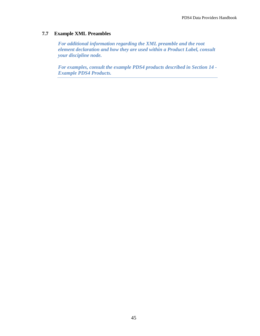# **7.7 Example XML Preambles**

*For additional information regarding the XML preamble and the root element declaration and how they are used within a Product Label, consult your discipline node.*

*For examples, consult the example PDS4 products described in Section 14 - Example PDS4 Products.*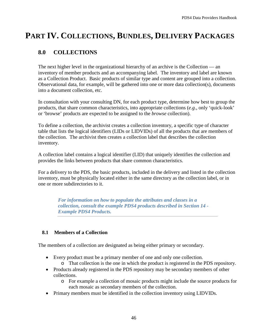# **PART IV. COLLECTIONS, BUNDLES, DELIVERY PACKAGES**

# **8.0 COLLECTIONS**

The next higher level in the organizational hierarchy of an archive is the Collection — an inventory of member products and an accompanying label. The inventory and label are known as a Collection Product. Basic products of similar type and content are grouped into a collection. Observational data, for example, will be gathered into one or more data collection(s), documents into a document collection, etc.

In consultation with your consulting DN, for each product type, determine how best to group the products, that share common characteristics, into appropriate collections (*e.g*., only 'quick-look' or 'browse' products are expected to be assigned to the *browse* collection).

To define a collection, the archivist creates a collection inventory, a specific type of character table that lists the logical identifiers (LIDs or LIDVIDs) of all the products that are members of the collection. The archivist then creates a collection label that describes the collection inventory.

A collection label contains a logical identifier (LID) that uniquely identifies the collection and provides the links between products that share common characteristics.

For a delivery to the PDS, the basic products, included in the delivery and listed in the collection inventory, must be physically located either in the same directory as the collection label, or in one or more subdirectories to it.

*For information on how to populate the attributes and classes in a collection, consult the example PDS4 products described in Section 14 - Example PDS4 Products.*

# **8.1 Members of a Collection**

The members of a collection are designated as being either primary or secondary.

- Every product must be a primary member of one and only one collection.
	- o That collection is the one in which the product is registered in the PDS repository.
- Products already registered in the PDS repository may be secondary members of other collections.
	- o For example a collection of mosaic products might include the source products for each mosaic as secondary members of the collection.
- Primary members must be identified in the collection inventory using LIDVIDs.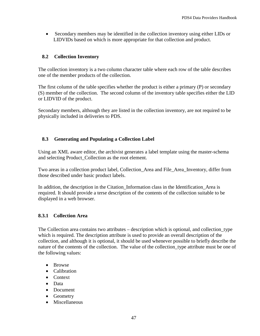• Secondary members may be identified in the collection inventory using either LIDs or LIDVIDs based on which is more appropriate for that collection and product.

# **8.2 Collection Inventory**

The collection inventory is a two column character table where each row of the table describes one of the member products of the collection.

The first column of the table specifies whether the product is either a primary (P) or secondary (S) member of the collection. The second column of the inventory table specifies either the LID or LIDVID of the product.

Secondary members, although they are listed in the collection inventory, are not required to be physically included in deliveries to PDS.

# **8.3 Generating and Populating a Collection Label**

Using an XML aware editor, the archivist generates a label template using the master-schema and selecting Product\_Collection as the root element.

Two areas in a collection product label, Collection\_Area and File\_Area\_Inventory, differ from those described under basic product labels.

In addition, the description in the Citation Information class in the Identification Area is required. It should provide a terse description of the contents of the collection suitable to be displayed in a web browser.

# **8.3.1 Collection Area**

The Collection area contains two attributes – description which is optional, and collection\_type which is required. The description attribute is used to provide an overall description of the collection, and although it is optional, it should be used whenever possible to briefly describe the nature of the contents of the collection. The value of the collection\_type attribute must be one of the following values:

- Browse
- Calibration
- Context
- Data
- Document
- Geometry
- Miscellaneous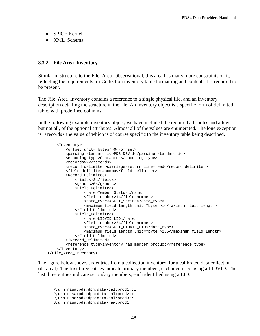- SPICE Kernel
- XML\_Schema

#### **8.3.2 File Area\_Inventory**

Similar in structure to the File\_Area\_Observational, this area has many more constraints on it, reflecting the requirements for Collection inventory table formatting and content. It is required to be present.

The File\_Area\_Inventory contains a reference to a single physical file, and an inventory description detailing the structure in the file. An inventory object is a specific form of delimited table, with predefined columns.

In the following example inventory object, we have included the required attributes and a few, but not all, of the optional attributes. Almost all of the values are enumerated. The lone exception is <records> the value of which is of course specific to the inventory table being described.

```
 <Inventory>
         <offset unit="bytes">0</offset>
         <parsing_standard_id>PDS DSV 1</parsing_standard_id>
         <encoding_type>Character</encoding_type>
         <records>?</records>
         <record_delimiter>carriage-return line-feed</record_delimiter>
         <field_delimiter>comma</field_delimiter>
         <Record_Delimited>
             <fields>2</fields>
             <groups>0</groups>
             <Field_Delimited>
                 <name>Member_Status</name>
                <field_number>1</field_number>
                <data_type>ASCII_String</data_type>
                <maximum_field_length unit="byte">1</maximum_field_length>
             </Field_Delimited>
             <Field_Delimited>
                 <name>LIDVID_LID</name>
                <field_number>2</field_number>
                <data_type>ASCII_LIDVID_LID</data_type>
                <maximum_field_length unit="byte">255</maximum_field_length>
             </Field_Delimited>
         </Record_Delimited>
         <reference_type>inventory_has_member_product</reference_type>
     </Inventory>
 </File_Area_Inventory>
```
The figure below shows six entries from a collection inventory, for a calibrated data collection (data-cal). The first three entries indicate primary members, each identified using a LIDVID. The last three entries indicate secondary members, each identified using a LID.

P,urn:nasa:pds:dph:data-cal:prod1::l P,urn:nasa:pds:dph:data-cal:prod2::1 P,urn:nasa:pds:dph:data-cal:prod3::1 S,urn:nasa:pds:dph:data-raw:prod1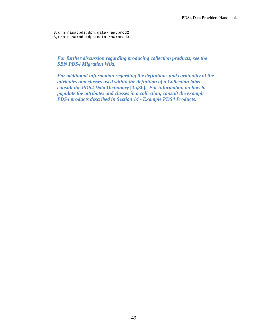S,urn:nasa:pds:dph:data-raw:prod2 S,urn:nasa:pds:dph:data-raw:prod3

*For further discussion regarding producing collection products, see the SBN PDS4 Migration Wiki.*

*For additional information regarding the definitions and cardinality of the attributes and classes used within the definition of a Collection label, consult the PDS4 Data Dictionary* **[3a,3b]***. For information on how to populate the attributes and classes in a collection, consult the example PDS4 products described in Section 14 - Example PDS4 Products.*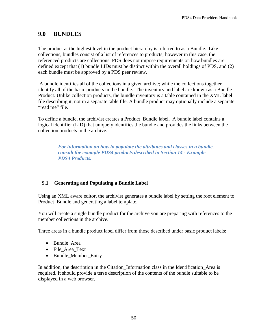# **9.0 BUNDLES**

The product at the highest level in the product hierarchy is referred to as a Bundle. Like collections, bundles consist of a list of references to products; however in this case, the referenced products are collections. PDS does not impose requirements on how bundles are defined except that (1) bundle LIDs must be distinct within the overall holdings of PDS, and (2) each bundle must be approved by a PDS peer review.

A bundle identifies all of the collections in a given archive; while the collections together identify all of the basic products in the bundle. The inventory and label are known as a Bundle Product. Unlike collection products, the bundle inventory is a table contained in the XML label file describing it, not in a separate table file. A bundle product may optionally include a separate "read me" file.

To define a bundle, the archivist creates a Product\_Bundle label. A bundle label contains a logical identifier (LID) that uniquely identifies the bundle and provides the links between the collection products in the archive.

> *For information on how to populate the attributes and classes in a bundle, consult the example PDS4 products described in Section 14 - Example PDS4 Products.*

# **9.1 Generating and Populating a Bundle Label**

Using an XML aware editor, the archivist generates a bundle label by setting the root element to Product Bundle and generating a label template.

You will create a single bundle product for the archive you are preparing with references to the member collections in the archive.

Three areas in a bundle product label differ from those described under basic product labels:

- Bundle\_Area
- File\_Area\_Text
- Bundle\_Member\_Entry

In addition, the description in the Citation Information class in the Identification Area is required. It should provide a terse description of the contents of the bundle suitable to be displayed in a web browser.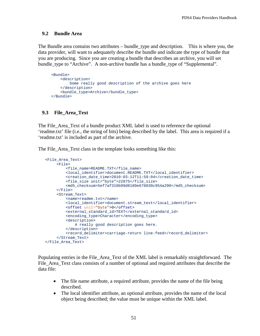### **9.2 Bundle Area**

The Bundle area contains two attributes – bundle\_type and description. This is where you, the data provider, will want to adequately describe the bundle and indicate the type of bundle that you are producing. Since you are creating a bundle that describes an archive, you will set bundle\_type to "Archive". A non-archive bundle has a bundle\_type of "Supplemental".

```
 <Bundle>
     <description>
         Some really good description of the archive goes here 
     </description>
     <bundle_type>Archive</bundle_type>
 </Bundle>
```
# **9.3 File\_Area\_Text**

The File\_Area\_Text of a bundle product XML label is used to reference the optional 'readme.txt' file (i.e., the string of bits) being described by the label. This area is required if a 'readme.txt' is included as part of the archive.

The File\_Area\_Text class in the template looks something like this:

```
 <File_Area_Text>
      <File>
          <file_name>README.TXT</file_name>
          <local_identifier>document.README.TXT</local_identifier>
          <creation_date_time>2010-03-12T11:59:04</creation_date_time>
          <file_size unit="byte">22875</file_size>
          <md5_checksum>5ef7af310b99d8189e670830c954a290</md5_checksum>
     \langleFile>
      <Stream_Text>
          <name>readme.txt</name>
          <local_identifier>document.stream_text</local_identifier>
          <offset unit="byte">0</offset>
          <external_standard_id>TEXT</external_standard_id>
          <encoding_type>Character</encoding_type>
          <description>
              A really good description goes here.
          </description>
         <record_delimiter>carriage-return line-feed</record_delimiter>
      </Stream_Text> 
 </File_Area_Text>
```
Populating entries in the File\_Area\_Text of the XML label is remarkably straightforward. The File\_Area\_Text class consists of a number of optional and required attributes that describe the data file:

- The file name attribute, a required attribute, provides the name of the file being described.
- The local identifier attribute, an optional attribute, provides the name of the local object being described; the value must be unique within the XML label.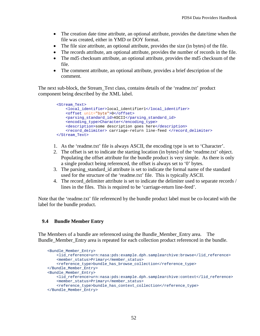- The creation date time attribute, an optional attribute, provides the date/time when the file was created, either in YMD or DOY format.
- The file size attribute, an optional attribute, provides the size (in bytes) of the file.
- The records attribute, am optional attribute, provides the number of records in the file.
- The md5 checksum attribute, an optional attribute, provides the md5 checksum of the file.
- The comment attribute, an optional attribute, provides a brief description of the comment.

The next sub-block, the Stream\_Text class, contains details of the 'readme.txt' product component being described by the XML label.

```
 <Stream_Text>
     <local_identifier>local_identifier1</local_identifier>
     <offset unit="byte">0</offset>
     <parsing_standard_id>ASCII</parsing_standard_id>
    <encoding_type>Character</encoding_type>
     <description>some description goes here</description>
     <record_delimiter> carriage-return line-feed </record_delimiter>
 </Stream_Text>
```
- 1. As the 'readme.txt' file is always ASCII, the encoding type is set to 'Character'.
- 2. The offset is set to indicate the starting location (in bytes) of the 'readme.txt' object. Populating the offset attribute for the bundle product is very simple. As there is only a single product being referenced, the offset is always set to '0' bytes.
- 3. The parsing\_standard\_id attribute is set to indicate the formal name of the standard used for the structure of the 'readme.txt' file. This is typically ASCII.
- 4. The record delimiter attribute is set to indicate the delimiter used to separate records / lines in the files. This is required to be 'carriage-return line-feed'.

Note that the 'readme.txt' file referenced by the bundle product label must be co-located with the label for the bundle product.

#### **9.4 Bundle Member Entry**

The Members of a bundle are referenced using the Bundle\_Member\_Entry area. The Bundle\_Member\_Entry area is repeated for each collection product referenced in the bundle.

```
 <Bundle_Member_Entry>
     <lid_reference>urn:nasa:pds:example.dph.samplearchive:browse</lid_reference>
     <member_status>Primary</member_status>
     <reference_type>bundle_has_browse_collection</reference_type>
 </Bundle_Member_Entry>
 <Bundle_Member_Entry>
    <lid_reference>urn:nasa:pds:example.dph.samplearchive:context</lid_reference>
     <member_status>Primary</member_status>
    <reference_type>bundle_has_context_collection</reference_type>
 </Bundle_Member_Entry>
```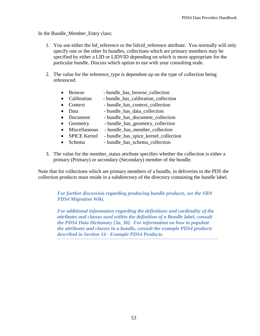In the Bundle\_Member\_Entry class:

- 1. You use either the lidereference or the lidvid reference attribute. You normally will only specify one or the other In bundles, collections which are primary members may be specified by either a LID or LIDVID depending on which is more appropriate for the particular bundle. Discuss which option to use with your consulting node.
- 2. The value for the reference\_type is dependent up on the type of collection being referenced:
	- Browse bundle\_has\_browse\_collection
	- Calibration bundle has calibration collection
	- Context bundle\_has\_context\_collection
	- Data bundle has data collection
	- Document bundle has document collection
	- Geometry bundle\_has\_geometry\_collection
	- Miscellaneous bundle has member collection
	- SPICE Kernel bundle has spice kernel collection
	- Schema bundle has schema collection
- 3. The value for the member\_status attribute specifies whether the collection is either a primary (Primary) or secondary (Secondary) member of the bundle.

Note that for collections which are primary members of a bundle, in deliveries to the PDS the collection products must reside in a subdirectory of the directory containing the bundle label.

*For further discussion regarding producing bundle products, see the SBN PDS4 Migration Wiki*.

*For additional information regarding the definitions and cardinality of the attributes and classes used within the definition of a Bundle label, consult the PDS4 Data Dictionary [3a, 3b]. For information on how to populate the attributes and classes in a bundle, consult the example PDS4 products described in Section 14 - Example PDS4 Products.*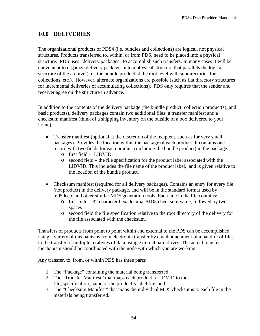# **10.0 DELIVERIES**

The organizational products of PDS4 (i.e. bundles and collections) are logical, not physical structures. Products transferred to, within, or from PDS, need to be placed into a physical structure. PDS uses "delivery packages" to accomplish such transfers. In many cases it will be convenient to organize delivery packages into a physical structure that parallels the logical structure of the archive (i.e., the bundle product at the root level with subdirectories for collections, etc.). However, alternate organizations are possible (such as flat directory structures for incremental deliveries of accumulating collections). PDS only requires that the sender and receiver agree on the structure in advance.

In addition to the contents of the delivery package (the bundle product, collection product(s), and basic products), delivery packages contain two additional files: a transfer manifest and a checksum manifest (think of a shipping inventory on the outside of a box delivered to your home).

- Transfer manifest (optional at the discretion of the recipient, such as for very small packages). Provides the location within the package of each product. It contains one record with two fields for each product (including the bundle product) in the package:
	- o first field LIDVID,
	- o second field the file specification for the product label associated with the LIDVID. This includes the file name of the product label, and is given relative to the location of the bundle product.
- Checksum manifest (required for all delivery packages). Contains an entry for every file (not product) in the delivery package, and will be in the standard format used by md5deep, and other similar MD5 generation tools. Each line in the file contains:
	- o first field 32 character hexadecimal MD5 checksum value, followed by two spaces
	- o second field the file specification relative to the root directory of the delivery for the file associated with the checksum.

Transfers of products from point to point within and external to the PDS can be accomplished using a variety of mechanisms from electronic transfer by email attachment of a handful of files to the transfer of multiple terabytes of data using external hard drives. The actual transfer mechanism should be coordinated with the node with which you are working.

Any transfer, to, from, or within PDS has three parts:

- 1. The "Package" containing the material being transferred.
- 2. The "Transfer Manifest" that maps each product's LIDVID to the file\_specification\_name of the product's label file, and
- 3. The "Checksum Manifest" that maps the individual MD5 checksums to each file in the materials being transferred.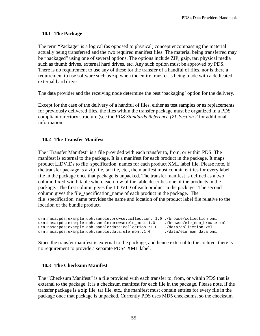# **10.1 The Package**

The term "Package" is a logical (as opposed to physical) concept encompassing the material actually being transferred and the two required manifest files. The material being transferred may be "packaged" using one of several options. The options include ZIP, gzip, tar, physical media such as thumb drives, external hard drives, etc. Any such option must be approved by PDS. There is no requirement to use any of these for the transfer of a handful of files, nor is there a requirement to use software such as zip when the entire transfer is being made with a dedicated external hard drive.

The data provider and the receiving node determine the best 'packaging' option for the delivery.

Except for the case of the delivery of a handful of files, either as test samples or as replacements for previously delivered files, the files within the transfer package must be organized in a PDS compliant directory structure (see the *PDS Standards Reference [2], Section 2* for additional information.

# **10.2 The Transfer Manifest**

The "Transfer Manifest" is a file provided with each transfer to, from, or within PDS. The manifest is external to the package. It is a manifest for each product in the package. It maps product LIDVIDs to file\_specification\_names for each product XML label file. Please note, if the transfer package is a zip file, tar file, etc., the manifest must contain entries for every label file in the package once that package is unpacked. The transfer manifest is defined as a two column fixed-width table where each row of the table describes one of the products in the package. The first column gives the LIDVID of each product in the package. The second column gives the file specification name of each product in the package. The file\_specification\_name provides the name and location of the product label file relative to the location of the bundle product.

```
urn:nasa:pds:example.dph.sample:browse:collection::1.0 ./browse/collection.xml
urn:nasa:pds:example.dph.sample:browse:ele_mon::1.0 ./browse/ele_mom_brow;<br>urn:nasa:pds:example.dph.sample:data:collection::1.0 ./data/collection.xml
urn:nasa:pds:example.dph.sample:data:collection::1.0 ./data/collection.xml<br>urn:nasa:pds:example.dph.sample:data:ele_mon::1.0 ./data/ele_mom_data.xml
urn:nasa:pds:example.dph.sample:data:ele_mon::1.0
```
Since the transfer manifest is external to the package, and hence external to the archive, there is no requirement to provide a separate PDS4 XML label.

# **10.3 The Checksum Manifest**

The "Checksum Manifest" is a file provided with each transfer to, from, or within PDS that is external to the package. It is a checksum manifest for each file in the package. Please note, if the transfer package is a zip file, tar file, etc., the manifest must contain entries for every file in the package once that package is unpacked. Currently PDS uses MD5 checksums, so the checksum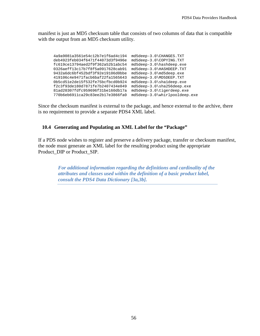manifest is just an MD5 checksum table that consists of two columns of data that is compatible with the output from an MD5 checksum utility.

4a9a9081a3561e54c12b7e1f6ad4c194 md5deep-3.0\CHANGES.TXT deb4923feb034f6471f44073d3f9496e md5deep-3.0\COPYING.TXT<br>fc619ce13794aed2f9f362a52b1abc54 md5deep-3.0\hashdeep.exe fc619ce13794aed2f9f362a52b1abc54 md5deep-3.0\hashdeep.exe 0326aeff13c17b7f8f5a0917628cab91 md5deep-3.0\HASHDEEP.TX<br>9432a6dc6bf452bdf3f92e19106d0bbe md5deep-3.0\md5deep.exe 9432a6dc6bf452bdf3f92e19106d0bbe md5deep-3.0\md5deep.exe<br>419106c4e9471facb6baf22fa1565643 md5deep-3.0\MD5DEEP.TXT 419106c4e9471facb6baf22fa1565643 md5deep-3.0\MD5DEEP.TXT 0b5cd51e2de15f532fe75bcfbcd0b924 md5deep-3.0\sha1deep.exe<br>f2c3f93de180d7871fe7b2407434e049 md5deep-3.0\sha256deep.exe f2c3f93de180d7871fe7b2407434e049 md5deep-3.0\sha256deep.exe 81ad20307fdfc959696f31be160db17a md5deep-3.0\tigerdeep.exe 770b6eb6911ca29c83ee2b17e3866fa0

Since the checksum manifest is external to the package, and hence external to the archive, there is no requirement to provide a separate PDS4 XML label.

# **10.4 Generating and Populating an XML Label for the "Package"**

If a PDS node wishes to register and preserve a delivery package, transfer or checksum manifest, the node must generate an XML label for the resulting product using the appropriate Product\_DIP or Product\_SIP.

*For additional information regarding the definitions and cardinality of the attributes and classes used within the definition of a basic product label, consult the PDS4 Data Dictionary [3a,3b].*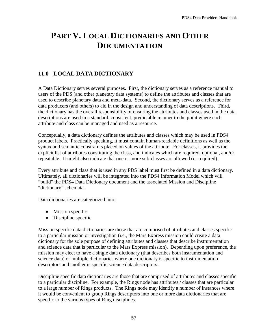# **PART V. LOCAL DICTIONARIES AND OTHER DOCUMENTATION**

# **11.0 LOCAL DATA DICTIONARY**

A Data Dictionary serves several purposes. First, the dictionary serves as a reference manual to users of the PDS (and other planetary data systems) to define the attributes and classes that are used to describe planetary data and meta-data. Second, the dictionary serves as a reference for data producers (and others) to aid in the design and understanding of data descriptions. Third, the dictionary has the overall responsibility of ensuring the attributes and classes used in the data descriptions are used in a standard, consistent, predictable manner to the point where each attribute and class can be managed and used as a resource.

Conceptually, a data dictionary defines the attributes and classes which may be used in PDS4 product labels. Practically speaking, it must contain human-readable definitions as well as the syntax and semantic constraints placed on values of the attribute. For classes, it provides the explicit list of attributes constituting the class, and indicates which are required, optional, and/or repeatable. It might also indicate that one or more sub-classes are allowed (or required).

Every attribute and class that is used in any PDS label must first be defined in a data dictionary. Ultimately, all dictionaries will be integrated into the PDS4 Information Model which will "build" the PDS4 Data Dictionary document and the associated Mission and Discipline "dictionary" schemata.

Data dictionaries are categorized into:

- Mission specific
- Discipline specific

Mission specific data dictionaries are those that are comprised of attributes and classes specific to a particular mission or investigation (i.e., the Mars Express mission could create a data dictionary for the sole purpose of defining attributes and classes that describe instrumentation and science data that is particular to the Mars Express mission). Depending upon preference, the mission may elect to have a single data dictionary (that describes both instrumentation and science data) or multiple dictionaries where one dictionary is specific to instrumentation descriptors and another is specific science data descriptors.

Discipline specific data dictionaries are those that are comprised of attributes and classes specific to a particular discipline. For example, the Rings node has attributes / classes that are particular to a large number of Rings products. The Rings node may identify a number of instances where it would be convenient to group Rings descriptors into one or more data dictionaries that are specific to the various types of Ring disciplines.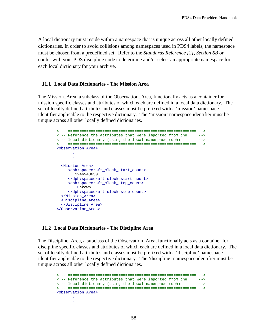A local dictionary must reside within a namespace that is unique across all other locally defined dictionaries. In order to avoid collisions among namespaces used in PDS4 labels, the namespace must be chosen from a predefined set. Refer to the *Standards Reference [2], Section 6B* or confer with your PDS discipline node to determine and/or select an appropriate namespace for each local dictionary for your archive.

#### **11.1 Local Data Dictionaries - The Mission Area**

The Mission Area, a subclass of the Observation Area, functionally acts as a container for mission specific classes and attributes of which each are defined in a local data dictionary. The set of locally defined attributes and classes must be prefixed with a 'mission' namespace identifier applicable to the respective dictionary. The 'mission' namespace identifier must be unique across all other locally defined dictionaries.

```
 <!-- ======================================================== -->
       \leq -- Reference the attributes that were imported from the \leq -->
       <!-- local dictionary (using the local namespace (dph)
        <!-- ======================================================== --> 
        <Observation_Area>
 .
 .
 .
          <Mission_Area>
             <dph:spacecraft_clock_start_count>
               1246943630
             </dph:spacecraft_clock_start_count>
             <dph:spacecraft_clock_stop_count>
                unkown
            </dph:spacecraft_clock_stop_count>
          </Mission_Area>
          <Discipline_Area>
          </Discipline_Area>
        </Observation_Area>
```
#### **11.2 Local Data Dictionaries - The Discipline Area**

The Discipline Area, a subclass of the Observation Area, functionally acts as a container for discipline specific classes and attributes of which each are defined in a local data dictionary. The set of locally defined attributes and classes must be prefixed with a 'discipline' namespace identifier applicable to the respective dictionary. The 'discipline' namespace identifier must be unique across all other locally defined dictionaries.

 <!-- ======================================================== -->  $\langle$ -- Reference the attributes that were imported from the  $\langle$ --> $\langle$ --- $\rangle$ <!-- local dictionary (using the local namespace (dph) <!-- ======================================================== --> <Observation\_Area> . .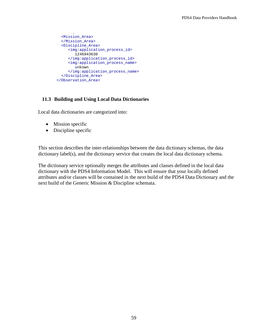```
 .
          <Mission_Area>
          </Mission_Area>
          <Discipline_Area>
             <img:application_process_id>
                1246943630
             </img:application_process_id>
             <img:application_process_name>
                unkown
             </img:application_process_name>
          </Discipline_Area>
        </Observation_Area>
```
# **11.3 Building and Using Local Data Dictionaries**

Local data dictionaries are categorized into:

- Mission specific
- Discipline specific

This section describes the inter-relationships between the data dictionary schemas, the data dictionary label(s), and the dictionary service that creates the local data dictionary schema.

The dictionary service optionally merges the attributes and classes defined in the local data dictionary with the PDS4 Information Model. This will ensure that your locally defined attributes and/or classes will be contained in the next build of the PDS4 Data Dictionary and the next build of the Generic Mission & Discipline schemata.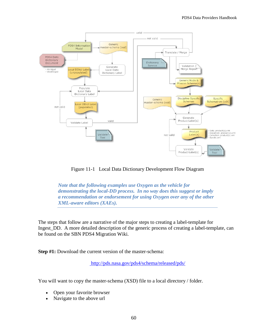

Figure 11-1 Local Data Dictionary Development Flow Diagram

*Note that the following examples use Oxygen as the vehicle for demonstrating the local-DD process. In no way does this suggest or imply a recommendation or endorsement for using Oxygen over any of the other XML-aware editors (XAEs).*

The steps that follow are a narrative of the major steps to creating a label-template for Ingest\_DD. A more detailed description of the generic process of creating a label-template, can be found on the SBN PDS4 Migration Wiki.

**Step #1:** Download the current version of the master-schema:

<http://pds.nasa.gov/pds4/schema/released/pds/>

You will want to copy the master-schema (XSD) file to a local directory / folder.

- Open your favorite browser
- Navigate to the above url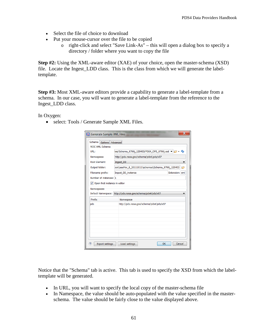- Select the file of choice to download
- Put your mouse-cursor over the file to be copied
	- o right-click and select "Save Link-As" this will open a dialog box to specify a directory / folder where you want to copy the file

**Step #2:** Using the XML-aware editor (XAE) of your choice, open the master-schema (XSD) file. Locate the Ingest\_LDD class. This is the class from which we will generate the labeltemplate.

**Step #3:** Most XML-aware editors provide a capability to generate a label-template from a schema. In our case, you will want to generate a label-template from the reference to the Ingest\_LDD class.

In Oxygen:

• select: Tools / Generate Sample XML Files.

| Schema<br>Options Advanced    |                                                            |  |                |  |
|-------------------------------|------------------------------------------------------------|--|----------------|--|
| W3C XML Schema                |                                                            |  |                |  |
| URL:                          | has/Schema 0700j 120403/PDS4 OPS 0700j.xsd v               |  |                |  |
| Namespace:                    | http://pds.nasa.gov/schema/pds4/pds/v07                    |  |                |  |
| <b>Root Element:</b>          | Ingest_DD                                                  |  |                |  |
| Output folder:                | ook\aaaVer_8_20111011\schemas\Schema_0700j_120403          |  |                |  |
| Filename prefix:              | Ingest DD instance                                         |  | Extension: xml |  |
| Number of instances: 1        |                                                            |  |                |  |
| Open first instance in editor |                                                            |  |                |  |
| Namespaces                    |                                                            |  |                |  |
|                               | Default Namespace: http://pds.nasa.gov/schema/pds4/pds/v07 |  |                |  |
|                               |                                                            |  |                |  |
| Prefix                        | Namespace                                                  |  |                |  |
| pds                           | http://pds.nasa.gov/schema/pds4/pds/v07                    |  |                |  |
|                               |                                                            |  |                |  |
|                               |                                                            |  |                |  |
|                               |                                                            |  |                |  |
|                               |                                                            |  |                |  |
|                               |                                                            |  |                |  |
|                               |                                                            |  |                |  |
|                               |                                                            |  |                |  |

Notice that the "Schema" tab is active. This tab is used to specify the XSD from which the labeltemplate will be generated.

- In URL, you will want to specify the local copy of the master-schema file
- In Namespace, the value should be auto-populated with the value specified in the masterschema. The value should be fairly close to the value displayed above.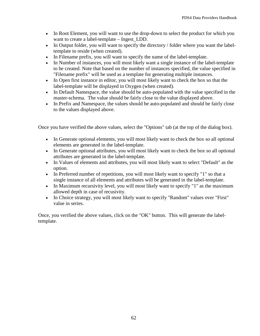- In Root Element, you will want to use the drop-down to select the product for which you want to create a label-template – Ingest LDD.
- In Output folder, you will want to specify the directory / folder where you want the labeltemplate to reside (when created).
- In Filename prefix, you will want to specify the name of the label-template.
- In Number of instances, you will most likely want a single instance of the label-template to be created. Note that based on the number of instances specified, the value specified in "Filename prefix" will be used as a template for generating multiple instances.
- In Open first instance in editor, you will most likely want to check the box so that the label-template will be displayed in Oxygen (when created).
- In Default Namespace, the value should be auto-populated with the value specified in the master-schema. The value should be fairly close to the value displayed above.
- In Prefix and Namespace, the values should be auto-populated and should be fairly close to the values displayed above.

Once you have verified the above values, select the "Options" tab (at the top of the dialog box).

- In Generate optional elements, you will most likely want to check the box so all optional elements are generated in the label-template.
- In Generate optional attributes, you will most likely want to check the box so all optional attributes are generated in the label-template.
- In Values of elements and attributes, you will most likely want to select "Default" as the option.
- In Preferred number of repetitions, you will most likely want to specify "1" so that a single instance of all elements and attributes will be generated in the label-template.
- In Maximum recursivity level, you will most likely want to specify "1" as the maximum allowed depth in case of recusivity.
- In Choice strategy, you will most likely want to specify "Random" values over "First" value in series.

Once, you verified the above values, click on the "OK" button. This will generate the labeltemplate.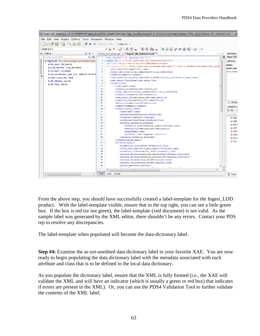|                                                                                                                                                                                                                                                                                                  | 76 - M Ingest_DD_instance1.xml [D:\WINWORD\aaaSysEng\PDS4_DataModel\Data_Prep_HandBook\aaaVer_8_20111011\schemas\Schema_0700j_120403\Ingest_DD_instance1.xml] - <ox< th=""><th></th></ox<>                                                                                                                                                                                                                                                                                                                                                                                                                                                      |                                                                                   |
|--------------------------------------------------------------------------------------------------------------------------------------------------------------------------------------------------------------------------------------------------------------------------------------------------|-------------------------------------------------------------------------------------------------------------------------------------------------------------------------------------------------------------------------------------------------------------------------------------------------------------------------------------------------------------------------------------------------------------------------------------------------------------------------------------------------------------------------------------------------------------------------------------------------------------------------------------------------|-----------------------------------------------------------------------------------|
| File Edit Find Project Options Tools Document Window Help                                                                                                                                                                                                                                        |                                                                                                                                                                                                                                                                                                                                                                                                                                                                                                                                                                                                                                                 |                                                                                   |
| □○○■ ね Q ② ② L'←→ External Tools - Saxon-EE -                                                                                                                                                                                                                                                    |                                                                                                                                                                                                                                                                                                                                                                                                                                                                                                                                                                                                                                                 |                                                                                   |
| $XPath 2.0$ $\sim$                                                                                                                                                                                                                                                                               | ▼※*   イ・ルヴ ※   〇 八 0* ※   三 0 月 1* 2* 9 回   11   メ                                                                                                                                                                                                                                                                                                                                                                                                                                                                                                                                                                                              |                                                                                   |
| <b>PP</b> Outline<br>$\Box$ $\Box$<br>$Q \parallel \Phi$<br>Element name filter<br>Archive Browser<br>· Ingest_DD "http://pds.nasa.gov/schema/pds4/pds/<br>· full_name full_name0<br>· local identifier local identifier0<br>• comment comment0<br>· last_modification_date_time 0000-01-01T00:0 | • PDS4 OPS 0700j.xsd $\times$ • Ingest DD instance1.xml $\times$<br>4 ▶ 国<br>xml version="1.0" encoding="UTF-8"?<br>$\overline{\phantom{a}}$<br><ingest <br="" dd="" xmlns="http://pds.nasa.gov/schema/pds4/pds/v07"><math>2 \nabla</math><br/><math>\mathcal{R}</math><br/>xmlns:xsi="http://www.w3.org/2001/XMLSchema-instance"<br/>xsi:schemaLocation="http://pds.nasa.gov/schema/pds4/pds/v07_file:/D:/WINWORD/aaaSysEng/PDS4_Datal<br/><math>\overline{4}</math><br/>5<br/><full name="">full name0</full><br/>6<br/><local identifier="">local identifier0</local><br/><math>\overline{7}</math><br/><comment>comment0</comment></ingest> | <b>Attributes</b><br>Ingest_DD<br>Attribute<br>xmlns<br>xmlns:xsi<br>xsi:schema   |
| 忠<br>· pds4_merge_flag false<br>· DD Attribute name0<br>Þ.<br>· DD Class name3                                                                                                                                                                                                                   | 8<br><last date="" modification="" time="">0000-01-01T00:00</last><br>$\mathbf{9}$<br><pds4 flag="" merge="">false</pds4><br>$10 -$<br><dd attribute=""><br/>11<br/><name>name0</name><br/>12<br/><version id="">version id0</version><br/>13<br/><local identifier="">local identifier1</local><br/>14<br/><steward id="">steward id0</steward><br/>15<br/><name id="" space="">name space id0</name></dd>                                                                                                                                                                                                                                     |                                                                                   |
|                                                                                                                                                                                                                                                                                                  | 16<br><submitter id="">submitter id0</submitter><br>17<br><definition>definition0</definition><br>18<br><comment>comment1</comment><br>19<br><terminological entry=""><br/>20<br/><name>name1</name><br/>21<br/><definition>definition1</definition></terminological>                                                                                                                                                                                                                                                                                                                                                                           | a Attribut<br><b>Transforma</b><br>$\rightarrow$ (2) $\rightarrow$<br>Type filter |
|                                                                                                                                                                                                                                                                                                  | 22<br><language>language0</language><br>23<br><preferred flag="">false</preferred><br>24<br><external extended="" reference=""><br/>25<br/><reference text="">reference text0</reference><br/>26<br/><description>description0</description><br/>27<br/><name>name2</name></external>                                                                                                                                                                                                                                                                                                                                                           | <b>XML</b><br><b>XML</b><br>$\triangleright$ DITA<br><b>ANT</b><br><b>XSLT</b>    |
|                                                                                                                                                                                                                                                                                                  | 28<br><url>http://www.oxygenxml.com/</url><br>29<br><br>30<br><br>31<br><dd domain="" value=""><br/>32<br/><enumeration flag="">false</enumeration></dd>                                                                                                                                                                                                                                                                                                                                                                                                                                                                                        | XPro<br>XOue<br><b>SOL</b>                                                        |
|                                                                                                                                                                                                                                                                                                  | 33<br><value_data_type>value_data_type0</value_data_type><br><formation_rule>formation_rule0</formation_rule><br>34<br>35<br><minimum characters="">minimum characters0</minimum><br>36<br><maximum characters="">maximum characters0</maximum><br>37<br><minimum value="">minimum value0</minimum><br>38<br><maximum value="">maximum value0</maximum><br>39<br><pattern>pattern0</pattern>                                                                                                                                                                                                                                                    |                                                                                   |
| $\blacktriangleleft$<br>HH.                                                                                                                                                                                                                                                                      | m<br>$\overline{\phantom{a}}$<br>Text<br>Grid<br>Author                                                                                                                                                                                                                                                                                                                                                                                                                                                                                                                                                                                         | & Tran                                                                            |

From the above step, you should have successfully created a label-template for the Ingest\_LDD product. With the label-template visible, ensure that in the top right, you can see a little green box. If the box is red (or not green), the label-template (xml document) is not valid. As the sample label was generated by the XML editor, there shouldn't be any errors. Contact your PDS rep to resolve any discrepancies.

The label-template when populated will become the data-dictionary label.

**Step #4:** Examine the as-yet-unedited data dictionary label in your favorite XAE. You are now ready to begin populating the data dictionary label with the metadata associated with each attribute and class that is to be defined in the local data dictionary.

As you populate the dictionary label, ensure that the XML is fully formed (i.e., the XAE will validate the XML and will have an indicator (which is usually a green or red box) that indicates if errors are present in the XML). Or, you can use the PDS4 Validation Tool to further validate the contents of the XML label.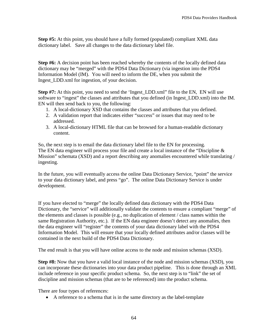**Step #5:** At this point, you should have a fully formed (populated) compliant XML data dictionary label. Save all changes to the data dictionary label file.

**Step #6:** A decision point has been reached whereby the contents of the locally defined data dictionary may be "merged" with the PDS4 Data Dictionary (via ingestion into the PDS4 Information Model (IM). You will need to inform the DE, when you submit the Ingest\_LDD.xml for ingestion, of your decision.

**Step #7:** At this point, you need to send the 'Ingest\_LDD.xml'' file to the EN, EN will use software to "ingest" the classes and attributes that you defined (in Ingest\_LDD.xml) into the IM. EN will then send back to you, the following:

- 1. A local-dictionary XSD that contains the classes and attributes that you defined.
- 2. A validation report that indicates either "success" or issues that may need to be addressed.
- 3. A local-dictionary HTML file that can be browsed for a human-readable dictionary content.

So, the next step is to email the data dictionary label file to the EN for processing. The EN data engineer will process your file and create a local instance of the "Discipline & Mission" schemata (XSD) and a report describing any anomalies encountered while translating / ingesting.

In the future, you will eventually access the online Data Dictionary Service, "point" the service to your data dictionary label, and press "go". The online Data Dictionary Service is under development.

If you have elected to "merge" the locally defined data dictionary with the PDS4 Data Dictionary, the "service" will additionally validate the contents to ensure a compliant "merge" of the elements and classes is possible (e.g., no duplication of element / class names within the same Registration Authority, etc.). If the EN data engineer doesn't detect any anomalies, then the data engineer will "register" the contents of your data dictionary label with the PDS4 Information Model. This will ensure that your locally defined attributes and/or classes will be contained in the next build of the PDS4 Data Dictionary.

The end result is that you will have online access to the node and mission schemas (XSD).

**Step #8:** Now that you have a valid local instance of the node and mission schemas (XSD), you can incorporate these dictionaries into your data product pipeline. This is done through an XML include reference in your specific product schema. So, the next step is to "link" the set of discipline and mission schemas (that are to be referenced) into the product schema.

There are four types of references:

• A reference to a schema that is in the same directory as the label-template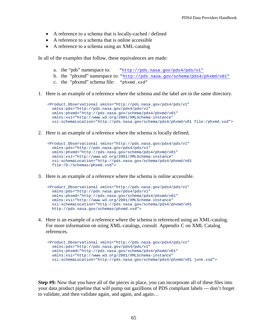- A reference to a schema that is locally-cached / defined
- A reference to a schema that is online accessible
- A reference to a schema using an XML-catalog

In all of the examples that follow, these equivalences are made:

- a. the "pds" namespace to: ["http://pds.nasa.gov/pds4/pds/v1"](http://pds.nasa.gov/pds4/pds/v1%22)
- b. the "phxmd" namespace to: ["http://pds.nasa.gov/schema/pds4/phxmd/v01"](http://pds.nasa.gov/schema/pds4/phxmd/v01)
- c. the "phxmd" schema file: "phxmd.xsd"
- 1. Here is an example of a reference where the schema and the label are in the same directory.

```
 <Product_Observational xmlns="http://pds.nasa.gov/pds4/pds/v1"
  xmlns:pds="http://pds.nasa.gov/pds4/pds/v1"
  xmlns:phxmd="http://pds.nasa.gov/schema/pds4/phxmd/v01"
  xmlns:xsi="http://www.w3.org/2001/XMLSchema-instance"
  xsi:schemaLocation="http://pds.nasa.gov/schema/pds4/phxmd/v01 file:/phxmd.xsd">
```
2. Here is an example of a reference where the schema is locally defined.

```
 <Product_Observational xmlns="http://pds.nasa.gov/pds4/pds/v1"
  xmlns:pds="http://pds.nasa.gov/pds4/pds/v1"
  xmlns:phxmd="http://pds.nasa.gov/schema/pds4/phxmd/v01"
  xmlns:xsi="http://www.w3.org/2001/XMLSchema-instance"
  xsi:schemaLocation="http://pds.nasa.gov/schema/pds4/phxmd/v01 
  file:/D:/schemas/phxmd.xsd">
```
3. Here is an example of a reference where the schema is online accessible.

```
 <Product_Observational xmlns="http://pds.nasa.gov/pds4/pds/v1"
  xmlns:pds="http://pds.nasa.gov/pds4/pds/v1"
  xmlns:phxmd="http://pds.nasa.gov/schema/pds4/phxmd/v01"
  xmlns:xsi="http://www.w3.org/2001/XMLSchema-instance"
  xsi:schemaLocation="http://pds.nasa.gov/schema/pds4/phxmd/v01 
  http://pds.nasa.gov/schemas/phxmd.xsd">
```
4. Here is an example of a reference where the schema is referenced using an XML-catalog. For more information on using XML-catalogs, consult Appendix C on XML Catalog references.

```
 <Product_Observational xmlns="http://pds.nasa.gov/pds4/pds/v1"
  xmlns:pds="http://pds.nasa.gov/pds4/pds/v1"
  xmlns:phxmd="http://pds.nasa.gov/schema/pds4/phxmd/v01"
  xmlns:xsi="http://www.w3.org/2001/XMLSchema-instance"
  xsi:schemaLocation="http://pds.nasa.gov/schema/pds4/phxmd/v01 junk.xsd">
```
**Step #9:** Now that you have all of the pieces in place, you can incorporate all of these files into your data product pipeline that will pump out gazillions of PDS compliant labels --- don't forget to validate, and then validate again, and again, and again…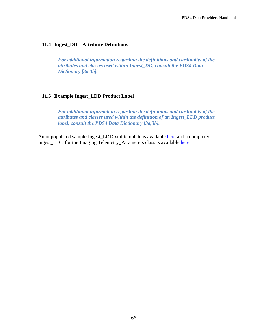#### **11.4 Ingest\_DD – Attribute Definitions**

*For additional information regarding the definitions and cardinality of the attributes and classes used within Ingest\_DD, consult the PDS4 Data Dictionary [3a.3b].* 

#### **11.5 Example Ingest\_LDD Product Label**

*For additional information regarding the definitions and cardinality of the attributes and classes used within the definition of an Ingest\_LDD product label, consult the PDS4 Data Dictionary [3a,3b].* 

An unpopulated sample Ingest\_LDD.xml template is available [here](http://pds.jpl.nasa.gov/repository/pds4/examples/dph_examples_0900/dph_example_products/ingest_dd/Ingest_DD_instance1.xml) and a completed Ingest\_LDD for the Imaging Telemetry\_Parameters class is available [here.](http://pds.jpl.nasa.gov/repository/pds4/examples/dph_examples_0900/dph_example_products/ingest_dd/Ingest_DD_telemetry.xml)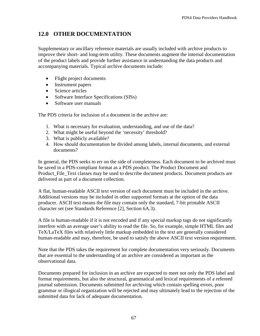# **12.0 OTHER DOCUMENTATION**

Supplementary or ancillary reference materials are usually included with archive products to improve their short- and long-term utility. These documents augment the internal documentation of the product labels and provide further assistance in understanding the data products and accompanying materials. Typical archive documents include:

- Flight project documents
- Instrument papers
- Science articles
- Software Interface Specifications (SISs)
- Software user manuals

The PDS criteria for inclusion of a document in the archive are:

- 1. What is necessary for evaluation, understanding, and use of the data?
- 2. What might be useful beyond the 'necessity' threshold?
- 3. What is publicly available?
- 4. How should documentation be divided among labels, internal documents, and external documents?

In general, the PDS seeks to err on the side of completeness. Each document to be archived must be saved in a PDS-compliant format as a PDS product. The Product Document and Product File Text classes may be used to describe document products. Document products are delivered as part of a document collection.

A flat, human-readable ASCII text version of each document must be included in the archive. Additional versions may be included in other supported formats at the option of the data producer. ASCII text means the file may contain only the standard, 7-bit printable ASCII character set (see Standards Reference [2]*,* Section 6A.3).

A file is human-readable if it is not encoded and if any special markup tags do not significantly interfere with an average user's ability to read the file. So, for example, simple HTML files and TeX/LaTeX files with relatively little markup embedded in the text are generally considered human-readable and may, therefore, be used to satisfy the above ASCII text version requirement.

Note that the PDS takes the requirement for complete documentation very seriously. Documents that are essential to the understanding of an archive are considered as important as the observational data.

Documents prepared for inclusion in an archive are expected to meet not only the PDS label and format requirements, but also the structural, grammatical and lexical requirements of a refereed journal submission. Documents submitted for archiving which contain spelling errors, poor grammar or illogical organization will be rejected and may ultimately lead to the rejection of the submitted data for lack of adequate documentation.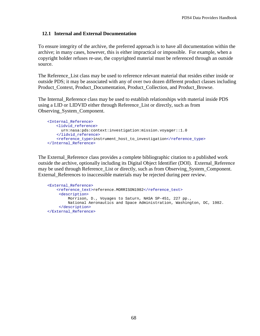# **12.1 Internal and External Documentation**

To ensure integrity of the archive, the preferred approach is to have all documentation within the archive; in many cases, however, this is either impractical or impossible. For example, when a copyright holder refuses re-use, the copyrighted material must be referenced through an outside source.

The Reference List class may be used to reference relevant material that resides either inside or outside PDS; it may be associated with any of over two dozen different product classes including Product\_Context, Product\_Documentation, Product\_Collection, and Product\_Browse.

The Internal Reference class may be used to establish relationships with material inside PDS using a LID or LIDVID either through Reference\_List or directly, such as from Observing\_System\_Component.

```
 <Internal_Reference>
    <lidvid_reference>
     urn:nasa:pds:context:investigation:mission.voyager::1.0
    </lidvid_reference>
     <reference_type>instrument_host_to_investigation</reference_type>
 </Internal_Reference>
```
The External Reference class provides a complete bibliographic citation to a published work outside the archive, optionally including its Digital Object Identifier (DOI). External\_Reference may be used through Reference. List or directly, such as from Observing, System, Component. External\_References to inaccessible materials may be rejected during peer review.

```
 <External_Reference>
   <reference_text>reference.MORRISON1982</reference_text>
      <description>
         Morrison, D., Voyages to Saturn, NASA SP-451, 227 pp., 
         National Aeronautics and Space Administration, Washington, DC, 1982.
      </description>
 </External_Reference>
```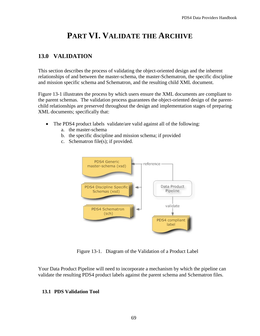# **PART VI. VALIDATE THE ARCHIVE**

# **13.0 VALIDATION**

This section describes the process of validating the object-oriented design and the inherent relationships of and between the master-schema, the master-Schematron, the specific discipline and mission specific schema and Schematron, and the resulting child XML document.

Figure 13-1 illustrates the process by which users ensure the XML documents are compliant to the parent schemas. The validation process guarantees the object-oriented design of the parentchild relationships are preserved throughout the design and implementation stages of preparing XML documents; specifically that:

- The PDS4 product labels validate/are valid against all of the following:
	- a. the master-schema
	- b. the specific discipline and mission schema; if provided
	- c. Schematron file(s); if provided.



Figure 13-1. Diagram of the Validation of a Product Label

Your Data Product Pipeline will need to incorporate a mechanism by which the pipeline can validate the resulting PDS4 product labels against the parent schema and Schematron files.

# **13.1 PDS Validation Tool**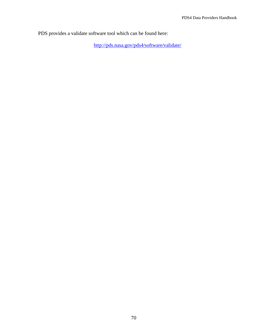PDS provides a validate software tool which can be found here:

<http://pds.nasa.gov/pds4/software/validate/>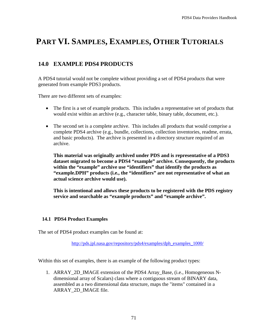# **PART VI. SAMPLES, EXAMPLES, OTHER TUTORIALS**

# **14.0 EXAMPLE PDS4 PRODUCTS**

A PDS4 tutorial would not be complete without providing a set of PDS4 products that were generated from example PDS3 products.

There are two different sets of examples:

- The first is a set of example products. This includes a representative set of products that would exist within an archive (e.g., character table, binary table, document, etc.).
- The second set is a complete archive. This includes all products that would comprise a complete PDS4 archive (e.g., bundle, collections, collection inventories, readme, errata, and basic products). The archive is presented in a directory structure required of an archive.

**This material was originally archived under PDS and is representative of a PDS3 dataset migrated to become a PDS4 "example" archive. Consequently, the products within the "example" archive use "identifiers" that identify the products as "example.DPH" products (i.e., the "identifiers" are not representative of what an actual science archive would use).** 

**This is intentional and allows these products to be registered with the PDS registry service and searchable as "example products" and "example archive".**

# **14.1 PDS4 Product Examples**

The set of PDS4 product examples can be found at:

[http://pds.jpl.nasa.gov/repository/pds4/examples/dph\\_examples\\_1000/](http://pds.jpl.nasa.gov/repository/pds4/examples/dph_examples_1000/)

Within this set of examples, there is an example of the following product types:

1. ARRAY\_2D\_IMAGE extension of the PDS4 Array\_Base, (i.e., Homogeneous Ndimensional array of Scalars) class where a contiguous stream of BINARY data, assembled as a two dimensional data structure, maps the "items" contained in a ARRAY\_2D\_IMAGE file.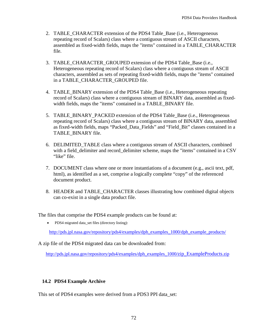- 2. TABLE\_CHARACTER extension of the PDS4 Table\_Base (i.e., Heterogeneous repeating record of Scalars) class where a contiguous stream of ASCII characters, assembled as fixed-width fields, maps the "items" contained in a TABLE\_CHARACTER file.
- 3. TABLE\_CHARACTER\_GROUPED extension of the PDS4 Table\_Base (i.e., Heterogeneous repeating record of Scalars) class where a contiguous stream of ASCII characters, assembled as sets of repeating fixed-width fields, maps the "items" contained in a TABLE\_CHARACTER\_GROUPED file.
- 4. TABLE\_BINARY extension of the PDS4 Table\_Base (i.e., Heterogeneous repeating record of Scalars) class where a contiguous stream of BINARY data, assembled as fixedwidth fields, maps the "items" contained in a TABLE\_BINARY file.
- 5. TABLE\_BINARY\_PACKED extension of the PDS4 Table\_Base (i.e., Heterogeneous repeating record of Scalars) class where a contiguous stream of BINARY data, assembled as fixed-width fields, maps "Packed\_Data\_Fields" and "Field\_Bit" classes contained in a TABLE\_BINARY file.
- 6. DELIMITED\_TABLE class where a contiguous stream of ASCII characters, combined with a field delimiter and record delimiter scheme, maps the "items" contained in a CSV "like" file.
- 7. DOCUMENT class where one or more instantiations of a document (e.g., ascii text, pdf, html), as identified as a set, comprise a logically complete "copy" of the referenced document product.
- 8. HEADER and TABLE\_CHARACTER classes illustrating how combined digital objects can co-exist in a single data product file.

The files that comprise the PDS4 example products can be found at:

• PDS4 migrated data\_set files (directory listing):

[http://pds.jpl.nasa.gov/repository/pds4/examples/dph\\_examples\\_1000/dph\\_example\\_products/](http://pds.jpl.nasa.gov/repository/pds4/examples/dph_examples_1000/dph_example_products/)

A zip file of the PDS4 migrated data can be downloaded from:

[http://pds.jpl.nasa.gov/repository/pds4/examples/dph\\_examples\\_1000/zip\\_ExampleProducts.zip](http://pds.jpl.nasa.gov/repository/pds4/examples/dph_examples_1000/zip_ExampleProducts.zip)

### **14.2 PDS4 Example Archive**

This set of PDS4 examples were derived from a PDS3 PPI data set: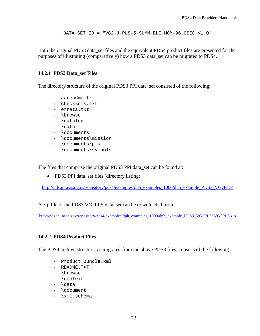DATA\_SET\_ID = "VG2-J-PLS-5-SUMM-ELE-MOM-96.0SEC-V1.0"

Both the original PDS3 data\_set files and the equivalent PDS4 product files are presented for the purposes of illustrating (comparatively) how a PDS3 data\_set can be migrated to PDS4.

### **14.2.1 PDS3 Data\_set Files**

The directory structure of the original PDS3 PPI data\_set consisted of the following:

- aareadme.txt
- checksums.txt
- errata.txt
- \browse
- \catalog
- \data
- \documents
- \documents\mission
- \documents\pls
- \documents\symbols

The files that comprise the original PDS3 PPI data\_set can be found at:

• PDS3 PPI data\_set files (directory listing):

[http://pds.jpl.nasa.gov/repository/pds4/examples/dph\\_examples\\_1000/dph\\_example\\_PDS3\\_VG2PLS/](http://pds.jpl.nasa.gov/repository/pds4/examples/dph_examples_1000/dph_example_PDS3_VG2PLS/)

A zip file of the PDS3 VG2PLS data\_set can be downloaded from:

[http://pds.jpl.nasa.gov/repository/pds4/examples/dph\\_examples\\_1000/dph\\_example\\_PDS3\\_VG2PLS/](http://pds.jpl.nasa.gov/repository/pds4/examples/dph_examples_1000/dph_example_PDS3_VG2PLS/%20VG2PLS.zip) VG2PLS.zip

### **14.2.2 PDS4 Product Files**

The PDS4 archive structure, as migrated from the above PDS3 files, consists of the following:

- Product\_Bundle.xml
- README.TXT
- \browse
- \context
- \data
- \document
- \xml schema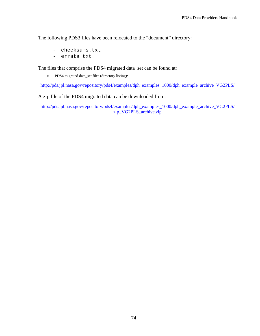The following PDS3 files have been relocated to the "document" directory:

- checksums.txt
- errata.txt

The files that comprise the PDS4 migrated data\_set can be found at:

• PDS4 migrated data\_set files (directory listing):

[http://pds.jpl.nasa.gov/repository/pds4/examples/dph\\_examples\\_1000/dph\\_example\\_archive\\_VG2PLS/](http://pds.jpl.nasa.gov/repository/pds4/examples/dph_examples_1000/dph_example_archive_VG2PLS/)

A zip file of the PDS4 migrated data can be downloaded from:

[http://pds.jpl.nasa.gov/repository/pds4/examples/dph\\_examples\\_1000/dph\\_example\\_archive\\_VG2PLS/](http://pds.jpl.nasa.gov/repository/pds4/examples/dph_examples_1000/dph_example_archive_VG2PLS/%20zip_VG2PLS_archive.zip) [zip\\_VG2PLS\\_archive.zip](http://pds.jpl.nasa.gov/repository/pds4/examples/dph_examples_1000/dph_example_archive_VG2PLS/%20zip_VG2PLS_archive.zip)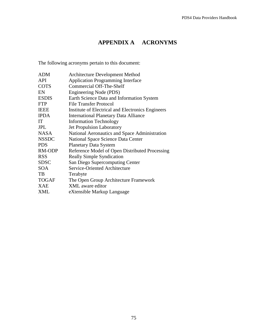# **APPENDIX A ACRONYMS**

The following acronyms pertain to this document:

| <b>ADM</b>   | <b>Architecture Development Method</b>            |
|--------------|---------------------------------------------------|
| <b>API</b>   | <b>Application Programming Interface</b>          |
| <b>COTS</b>  | Commercial Off-The-Shelf                          |
| EN           | Engineering Node (PDS)                            |
| <b>ESDIS</b> | Earth Science Data and Information System         |
| <b>FTP</b>   | <b>File Transfer Protocol</b>                     |
| <b>IEEE</b>  | Institute of Electrical and Electronics Engineers |
| <b>IPDA</b>  | <b>International Planetary Data Alliance</b>      |
| <b>IT</b>    | <b>Information Technology</b>                     |
| <b>JPL</b>   | <b>Jet Propulsion Laboratory</b>                  |
| <b>NASA</b>  | National Aeronautics and Space Administration     |
| <b>NSSDC</b> | <b>National Space Science Data Center</b>         |
| <b>PDS</b>   | <b>Planetary Data System</b>                      |
| RM-ODP       | Reference Model of Open Distributed Processing    |
| <b>RSS</b>   | <b>Really Simple Syndication</b>                  |
| <b>SDSC</b>  | San Diego Supercomputing Center                   |
| <b>SOA</b>   | Service-Oriented Architecture                     |
| TB           | Terabyte                                          |
| <b>TOGAF</b> | The Open Group Architecture Framework             |
| XAE          | XML aware editor                                  |
| <b>XML</b>   | eXtensible Markup Language                        |
|              |                                                   |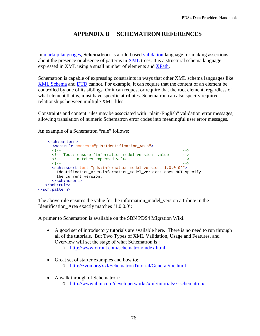## **APPENDIX B SCHEMATRON REFERENCES**

In [markup languages,](http://en.wikipedia.org/wiki/List_of_XML_markup_languages) **Schematron** is a rule-based [validation](http://en.wikipedia.org/wiki/XML_validation) language for making assertions about the presence or absence of patterns in [XML](http://en.wikipedia.org/wiki/XML) trees. It is a structural schema language expressed in XML using a small number of elements and [XPath.](http://en.wikipedia.org/wiki/XPath)

Schematron is capable of expressing constraints in ways that other XML schema languages like [XML Schema](http://en.wikipedia.org/wiki/XML_Schema_%28W3C%29) and [DTD](http://en.wikipedia.org/wiki/Document_Type_Definition) cannot. For example, it can require that the content of an element be controlled by one of its siblings. Or it can request or require that the root element, regardless of what element that is, must have specific attributes. Schematron can also specify required relationships between multiple XML files.

Constraints and content rules may be associated with "plain-English" validation error messages, allowing translation of numeric Schematron error codes into meaningful user error messages.

An example of a Schematron "rule" follows:

```
 <sch:pattern> 
       <sch:rule context="pds:Identification_Area">
       <!-- =================================================== -->
      <!-- Test: ensure 'information_model_version' value -->
     <!-- matches expected-value
      <!-- =================================================== -->
      <sch:assert test="pds:information_model_version='1.0.0.0'">
        Identification_Area.information_model_version: does NOT specify 
        the current version.
      </sch:assert>
   </sch:rule>
</sch:pattern>
```
The above rule ensures the value for the information\_model\_version attribute in the Identification\_Area exactly matches '1.0.0.0':

A primer to Schematron is available on the SBN PDS4 Migration Wiki.

- A good set of introductory tutorials are available here. There is no need to run through all of the tutorials. But Two Types of XML Validation, Usage and Features, and Overview will set the stage of what Schematron is :
	- o <http://www.xfront.com/schematron/index.html>
- Great set of starter examples and how to:
	- o <http://zvon.org/xxl/SchematronTutorial/General/toc.html>
- A walk through of Schematron : o <http://www.ibm.com/developerworks/xml/tutorials/x-schematron/>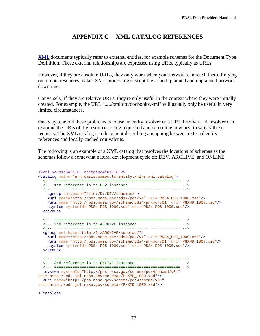### **APPENDIX C XML CATALOG REFERENCES**

[XML](http://en.wikipedia.org/wiki/XML) documents typically refer to external entities, for example schemas for the Document Type Definition. These external relationships are expressed using URIs, typically as URLs.

However, if they are absolute URLs, they only work when your network can reach them. Relying on remote resources makes XML processing susceptible to both planned and unplanned network downtime.

Conversely, if they are relative URLs, they're only useful in the context where they were initially created. For example, the URL "../../xml/dtd/docbookx.xml" will usually only be useful in very limited circumstances.

One way to avoid these problems is to use an entity resolver or a URI Resolver. A resolver can examine the URIs of the resources being requested and determine how best to satisfy those requests. The XML catalog is a document describing a mapping between external entity references and locally-cached equivalents.

The following is an example of a XML catalog that resolves the locations of schemas as the schemas follow a somewhat natural development cycle of: DEV, ARCHIVE, and ONLINE.

```
<?xml version="1.0" encoding="UTF-8"?>
<catalog xmlns="urn:oasis:names:tc:entity:xmlns:xml:catalog">
  <!-- ======================================================= -->
 <!-- 1st reference is to DEV instance
   <!-- ======================================================= -->
    <group xml:base="file:/D:/DEV/schemas/">
    <uri name="http://pds.nasa.gov/pds4/pds/v1" uri="PDS4_PDS_1000.xsd"/>
    <uri name="http://pds.nasa.gov/schema/pds4/phxmd/v01" uri="PHXMD_1000.xsd"/>
    <system systemId="PDS4_PDS_1000.xsd" uri="PDS4_PDS_1000.xsd"/>
  </group>
   <!-- ======================================================= -->
  <!-- 2nd reference is to ARCHIVE instance
   <!-- ======================================================= -->
   <group xml:base="file:/D:/ARCHIVE/schemas/">
    <uri name="http://pds.nasa.gov/pds4/pds/v1" uri="PDS4_PDS_1000.xsd"/>
    <uri name="http://pds.nasa.gov/schema/pds4/phxmd/v01" uri="PHXMD_1000.xsd"/>
    <system systemId="PDS4_PDS_1000.xsd" uri="PDS4_PDS_1000.xsd"/>
  </group>
  <!-- ======================================================= -->
 <!-- 3rd reference is to ONLINE instance
  <!-- ======================================================= -->
  <system systemId="http://pds.nasa.gov/schema/pds4/phxmd/v01"
uri="http://pds.jpl.nasa.gov/schemas/PHXMD_1000.xsd"/>
  <uri name="http://pds.nasa.gov/schema/pds4/phxmd/v01"
uri="http://pds.jpl.nasa.gov/schemas/PHXMD_1000.xsd"/>
```
</catalog>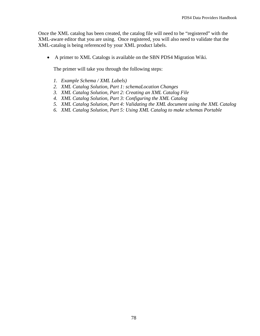Once the XML catalog has been created, the catalog file will need to be "registered" with the XML-aware editor that you are using. Once registered, you will also need to validate that the XML-catalog is being referenced by your XML product labels.

• A primer to XML Catalogs is available on the SBN PDS4 Migration Wiki.

The primer will take you through the following steps:

- *1. [Example Schema / XML Labels\)](https://oodt.jpl.nasa.gov/wiki/display/pdscollaboration/XML+Catalogs#XMLCatalogs-root)*
- *2. [XML Catalog Solution, Part 1: schemaLocation Changes](https://oodt.jpl.nasa.gov/wiki/display/pdscollaboration/XML+Catalogs#XMLCatalogs-label)*
- *3. [XML Catalog Solution, Part 2: Creating an XML Catalog File](https://oodt.jpl.nasa.gov/wiki/display/pdscollaboration/XML+Catalogs#XMLCatalogs-label)*
- *4. [XML Catalog Solution, Part 3: Configuring the XML Catalog](https://oodt.jpl.nasa.gov/wiki/display/pdscollaboration/XML+Catalogs#XMLCatalogs-mission)*
- *5. [XML Catalog Solution, Part 4: Validating the XML document using the XML Catalog](https://oodt.jpl.nasa.gov/wiki/display/pdscollaboration/XML+Catalogs#XMLCatalogs-node)*
- *6. [XML Catalog Solution, Part 5: Using XML Catalog to make schemas Portable](https://oodt.jpl.nasa.gov/wiki/display/pdscollaboration/XML+Catalogs#XMLCatalogs-node)*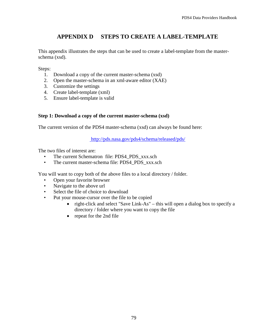## **APPENDIX D STEPS TO CREATE A LABEL-TEMPLATE**

This appendix illustrates the steps that can be used to create a label-template from the masterschema (xsd).

Steps:

- 1. Download a copy of the current master-schema (xsd)
- 2. Open the master-schema in an xml-aware editor (XAE)
- 3. Customize the settings
- 4. Create label-template (xml)
- 5. Ensure label-template is valid

### **Step 1: Download a copy of the current master-schema (xsd)**

The current version of the PDS4 master-schema (xsd) can always be found here:

<http://pds.nasa.gov/pds4/schema/released/pds/>

The two files of interest are:

- The current Schematron file: PDS4\_PDS\_xxx.sch
- The current master-schema file: PDS4\_PDS\_xxx.sch

You will want to copy both of the above files to a local directory / folder.

- Open your favorite browser
- Navigate to the above url
- Select the file of choice to download
- Put your mouse-cursor over the file to be copied
	- right-click and select "Save Link-As" this will open a dialog box to specify a directory / folder where you want to copy the file
	- repeat for the 2nd file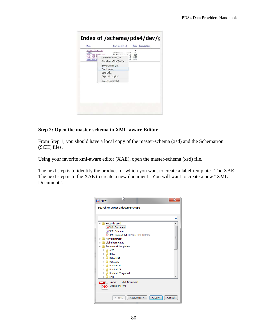| Name                                                                                  | Last modified                                                                               |          | 312e                | Description |
|---------------------------------------------------------------------------------------|---------------------------------------------------------------------------------------------|----------|---------------------|-------------|
| Parent Directory<br>$.3 \text{Vn}$<br>PDS4 PDS 06104 and<br>PDS4 PDS 06<br>PDS4 PDS V | 19-Mar-2012 17:46<br>10-Mar - 2012 17-46<br>Open Link in New Tab<br>Open Link in New Window | 86<br>k6 | 21K<br>114K<br>126K |             |
|                                                                                       | <b>Bookmark This Link</b>                                                                   |          |                     |             |
|                                                                                       | Save Link As                                                                                |          |                     |             |
|                                                                                       | Send Link                                                                                   |          |                     |             |
|                                                                                       | Copy Link Location                                                                          |          |                     |             |
|                                                                                       | Inspect Element (Q)                                                                         |          |                     |             |
|                                                                                       |                                                                                             |          |                     |             |

### **Step 2: Open the master-schema in XML-aware Editor**

From Step 1, you should have a local copy of the master-schema (xsd) and the Schematron (SCH) files.

Using your favorite xml-aware editor (XAE), open the master-schema (xsd) file.

The next step is to identify the product for which you want to create a label-template. The XAE The next step is to the XAE to create a new document. You will want to create a new "XML Document".

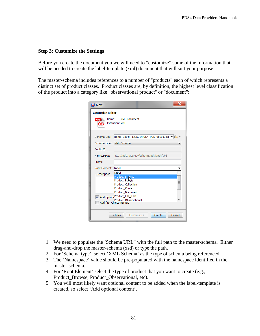### **Step 3: Customize the Settings**

Before you create the document you we will need to "customize" some of the information that will be needed to create the label-template (xml) document that will suit your purpose.

The master-schema includes references to a number of "products" each of which represents a distinct set of product classes. Product classes are, by definition, the highest level classification of the product into a category like "observational product" or "document":

| Х<br><b>X</b> New                                                  |                                                              |  |  |  |
|--------------------------------------------------------------------|--------------------------------------------------------------|--|--|--|
| <b>Customize editor</b>                                            |                                                              |  |  |  |
| <b>XML Document</b><br>Name:<br><b>XML</b><br>Extension: xml<br><0 |                                                              |  |  |  |
| Schema URL:                                                        | thema 0800k 120521/PDS4 PDS 0800k.xsd $\blacktriangledown$ - |  |  |  |
| Schema type:                                                       | <b>XML Schema</b>                                            |  |  |  |
| Public ID:                                                         |                                                              |  |  |  |
| Namespace:                                                         | http://pds.nasa.gov/schema/pds4/pds/v08                      |  |  |  |
| Prefix:                                                            |                                                              |  |  |  |
| Root Element:                                                      | Label                                                        |  |  |  |
| Description                                                        | ll abel<br>Product_Browse                                    |  |  |  |
|                                                                    | Product Burnie                                               |  |  |  |
|                                                                    | <b>Product_Collection</b>                                    |  |  |  |
|                                                                    | Product_Context                                              |  |  |  |
|                                                                    | Product_Document                                             |  |  |  |
|                                                                    | Add option Product_File_Text<br><b>Product Observational</b> |  |  |  |
| Add first Choice particle                                          |                                                              |  |  |  |
| Cancel<br>$<$ Back<br>Customize ><br>Create                        |                                                              |  |  |  |

- 1. We need to populate the 'Schema URL" with the full path to the master-schema. Either drag-and-drop the master-schema (xsd) or type the path.
- 2. For 'Schema type', select 'XML Schema' as the type of schema being referenced.
- 3. The 'Namespace' value should be pre-populated with the namespace identified in the master-schema.
- 4. For 'Root Element' select the type of product that you want to create (e.g., Product Browse, Product Observational, etc).
- 5. You will most likely want optional content to be added when the label-template is created, so select 'Add optional content'.